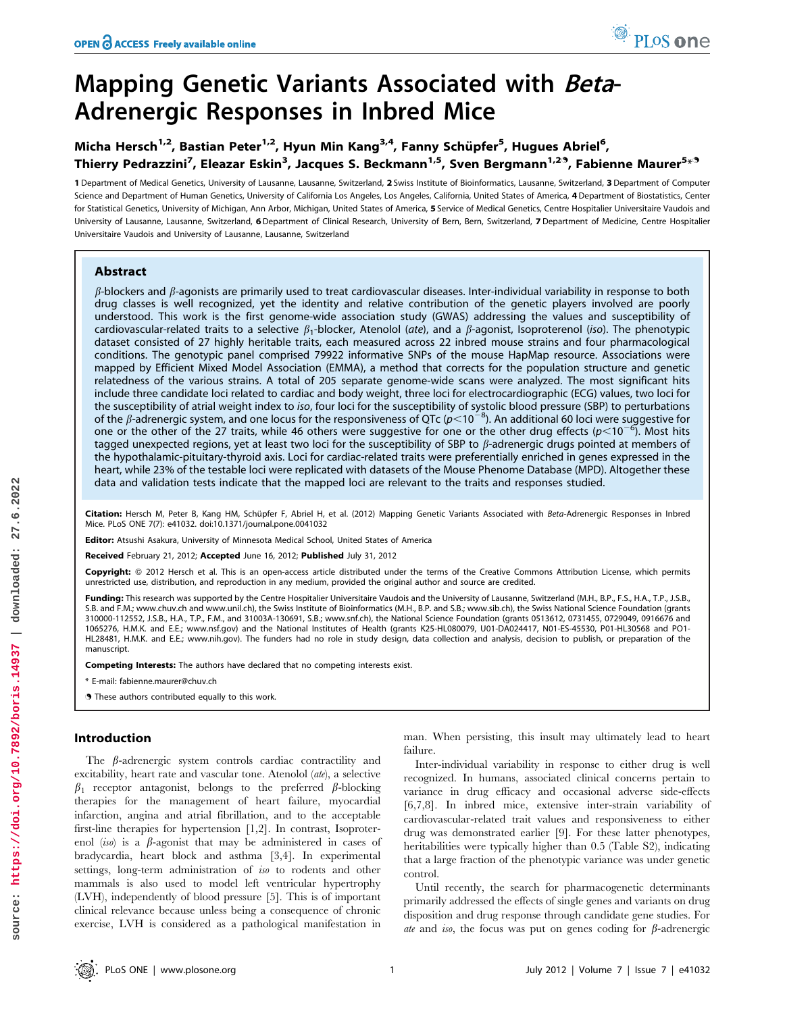# Mapping Genetic Variants Associated with *Beta-*Adrenergic Responses in Inbred Mice

# Micha Hersch<sup>1,2</sup>, Bastian Peter<sup>1,2</sup>, Hyun Min Kang<sup>3,4</sup>, Fanny Schüpfer<sup>5</sup>, Hugues Abriel<sup>6</sup>, Thierry Pedrazzini<sup>7</sup>, Eleazar Eskin<sup>3</sup>, Jacques S. Beckmann<sup>1,5</sup>, Sven Bergmann<sup>1,29</sup>, Fabienne Maurer<sup>5<sub>\*</sub>9</sup>

1 Department of Medical Genetics, University of Lausanne, Lausanne, Switzerland, 2 Swiss Institute of Bioinformatics, Lausanne, Switzerland, 3 Department of Computer Science and Department of Human Genetics, University of California Los Angeles, Los Angeles, California, United States of America, 4 Department of Biostatistics, Center for Statistical Genetics, University of Michigan, Ann Arbor, Michigan, United States of America, 5 Service of Medical Genetics, Centre Hospitalier Universitaire Vaudois and University of Lausanne, Lausanne, Switzerland, 6Department of Clinical Research, University of Bern, Bern, Switzerland, 7 Department of Medicine, Centre Hospitalier Universitaire Vaudois and University of Lausanne, Lausanne, Switzerland

## Abstract

 $\beta$ -blockers and  $\beta$ -agonists are primarily used to treat cardiovascular diseases. Inter-individual variability in response to both drug classes is well recognized, yet the identity and relative contribution of the genetic players involved are poorly understood. This work is the first genome-wide association study (GWAS) addressing the values and susceptibility of cardiovascular-related traits to a selective  $\beta_1$ -blocker, Atenolol (ate), and a  $\beta$ -agonist, Isoproterenol (iso). The phenotypic dataset consisted of 27 highly heritable traits, each measured across 22 inbred mouse strains and four pharmacological conditions. The genotypic panel comprised 79922 informative SNPs of the mouse HapMap resource. Associations were mapped by Efficient Mixed Model Association (EMMA), a method that corrects for the population structure and genetic relatedness of the various strains. A total of 205 separate genome-wide scans were analyzed. The most significant hits include three candidate loci related to cardiac and body weight, three loci for electrocardiographic (ECG) values, two loci for the susceptibility of atrial weight index to iso, four loci for the susceptibility of systolic blood pressure (SBP) to perturbations of the  $\beta$ -adrenergic system, and one locus for the responsiveness of QTc ( $p<$  10<sup>-8</sup>). An additional 60 loci were suggestive for one or the other of the 27 traits, while 46 others were suggestive for one or the other drug effects (p<10<sup>-6</sup>). Most hits tagged unexpected regions, yet at least two loci for the susceptibility of SBP to  $\beta$ -adrenergic drugs pointed at members of the hypothalamic-pituitary-thyroid axis. Loci for cardiac-related traits were preferentially enriched in genes expressed in the heart, while 23% of the testable loci were replicated with datasets of the Mouse Phenome Database (MPD). Altogether these data and validation tests indicate that the mapped loci are relevant to the traits and responses studied.

Citation: Hersch M, Peter B, Kang HM, Schüpfer F, Abriel H, et al. (2012) Mapping Genetic Variants Associated with Beta-Adrenergic Responses in Inbred Mice. PLoS ONE 7(7): e41032. doi:10.1371/journal.pone.0041032

Editor: Atsushi Asakura, University of Minnesota Medical School, United States of America

Received February 21, 2012; Accepted June 16, 2012; Published July 31, 2012

Copyright: © 2012 Hersch et al. This is an open-access article distributed under the terms of the Creative Commons Attribution License, which permits unrestricted use, distribution, and reproduction in any medium, provided the original author and source are credited.

Funding: This research was supported by the Centre Hospitalier Universitaire Vaudois and the University of Lausanne, Switzerland (M.H., B.P., F.S., H.A., T.P., J.S.B., S.B. and F.M.; www.chuv.ch and www.unil.ch), the Swiss Institute of Bioinformatics (M.H., B.P. and S.B.; www.sib.ch), the Swiss National Science Foundation (grants 310000-112552, J.S.B., H.A., T.P., F.M., and 31003A-130691, S.B.; www.snf.ch), the National Science Foundation (grants 0513612, 0731455, 0729049, 0916676 and 1065276, H.M.K. and E.E.; www.nsf.gov) and the National Institutes of Health (grants K25-HL080079, U01-DA024417, N01-ES-45530, P01-HL30568 and PO1- HL28481, H.M.K. and E.E.; www.nih.gov). The funders had no role in study design, data collection and analysis, decision to publish, or preparation of the manuscript.

Competing Interests: The authors have declared that no competing interests exist.

\* E-mail: fabienne.maurer@chuv.ch

. These authors contributed equally to this work.

## Introduction

The  $\beta$ -adrenergic system controls cardiac contractility and excitability, heart rate and vascular tone. Atenolol (ate), a selective  $\beta_1$  receptor antagonist, belongs to the preferred  $\beta$ -blocking therapies for the management of heart failure, myocardial infarction, angina and atrial fibrillation, and to the acceptable first-line therapies for hypertension [1,2]. In contrast, Isoproterenol (iso) is a  $\beta$ -agonist that may be administered in cases of bradycardia, heart block and asthma [3,4]. In experimental settings, long-term administration of iso to rodents and other mammals is also used to model left ventricular hypertrophy (LVH), independently of blood pressure [5]. This is of important clinical relevance because unless being a consequence of chronic exercise, LVH is considered as a pathological manifestation in

man. When persisting, this insult may ultimately lead to heart failure.

Inter-individual variability in response to either drug is well recognized. In humans, associated clinical concerns pertain to variance in drug efficacy and occasional adverse side-effects [6,7,8]. In inbred mice, extensive inter-strain variability of cardiovascular-related trait values and responsiveness to either drug was demonstrated earlier [9]. For these latter phenotypes, heritabilities were typically higher than 0.5 (Table S2), indicating that a large fraction of the phenotypic variance was under genetic control.

Until recently, the search for pharmacogenetic determinants primarily addressed the effects of single genes and variants on drug disposition and drug response through candidate gene studies. For ate and iso, the focus was put on genes coding for  $\beta$ -adrenergic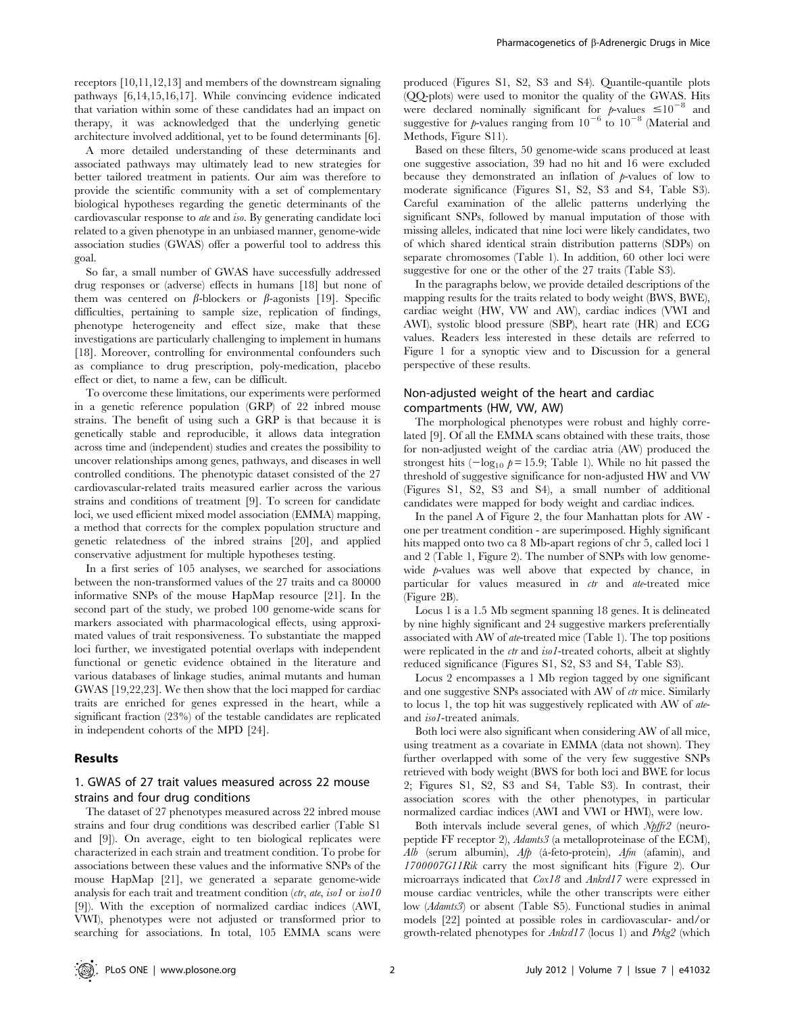receptors [10,11,12,13] and members of the downstream signaling pathways [6,14,15,16,17]. While convincing evidence indicated that variation within some of these candidates had an impact on therapy, it was acknowledged that the underlying genetic architecture involved additional, yet to be found determinants [6].

A more detailed understanding of these determinants and associated pathways may ultimately lead to new strategies for better tailored treatment in patients. Our aim was therefore to provide the scientific community with a set of complementary biological hypotheses regarding the genetic determinants of the cardiovascular response to ate and iso. By generating candidate loci related to a given phenotype in an unbiased manner, genome-wide association studies (GWAS) offer a powerful tool to address this goal.

So far, a small number of GWAS have successfully addressed drug responses or (adverse) effects in humans [18] but none of them was centered on  $\beta$ -blockers or  $\beta$ -agonists [19]. Specific difficulties, pertaining to sample size, replication of findings, phenotype heterogeneity and effect size, make that these investigations are particularly challenging to implement in humans [18]. Moreover, controlling for environmental confounders such as compliance to drug prescription, poly-medication, placebo effect or diet, to name a few, can be difficult.

To overcome these limitations, our experiments were performed in a genetic reference population (GRP) of 22 inbred mouse strains. The benefit of using such a GRP is that because it is genetically stable and reproducible, it allows data integration across time and (independent) studies and creates the possibility to uncover relationships among genes, pathways, and diseases in well controlled conditions. The phenotypic dataset consisted of the 27 cardiovascular-related traits measured earlier across the various strains and conditions of treatment [9]. To screen for candidate loci, we used efficient mixed model association (EMMA) mapping, a method that corrects for the complex population structure and genetic relatedness of the inbred strains [20], and applied conservative adjustment for multiple hypotheses testing.

In a first series of 105 analyses, we searched for associations between the non-transformed values of the 27 traits and ca 80000 informative SNPs of the mouse HapMap resource [21]. In the second part of the study, we probed 100 genome-wide scans for markers associated with pharmacological effects, using approximated values of trait responsiveness. To substantiate the mapped loci further, we investigated potential overlaps with independent functional or genetic evidence obtained in the literature and various databases of linkage studies, animal mutants and human GWAS [19,22,23]. We then show that the loci mapped for cardiac traits are enriched for genes expressed in the heart, while a significant fraction (23%) of the testable candidates are replicated in independent cohorts of the MPD [24].

## Results

## 1. GWAS of 27 trait values measured across 22 mouse strains and four drug conditions

The dataset of 27 phenotypes measured across 22 inbred mouse strains and four drug conditions was described earlier (Table S1 and [9]). On average, eight to ten biological replicates were characterized in each strain and treatment condition. To probe for associations between these values and the informative SNPs of the mouse HapMap [21], we generated a separate genome-wide analysis for each trait and treatment condition (ctr, ate, iso1 or iso10 [9]). With the exception of normalized cardiac indices (AWI, VWI), phenotypes were not adjusted or transformed prior to searching for associations. In total, 105 EMMA scans were

produced (Figures S1, S2, S3 and S4). Quantile-quantile plots (QQ-plots) were used to monitor the quality of the GWAS. Hits were declared nominally significant for  $p$ -values  $\leq 10^{-8}$  and suggestive for p-values ranging from  $10^{-6}$  to  $10^{-8}$  (Material and Methods, Figure S11).

Based on these filters, 50 genome-wide scans produced at least one suggestive association, 39 had no hit and 16 were excluded because they demonstrated an inflation of  $p$ -values of low to moderate significance (Figures S1, S2, S3 and S4, Table S3). Careful examination of the allelic patterns underlying the significant SNPs, followed by manual imputation of those with missing alleles, indicated that nine loci were likely candidates, two of which shared identical strain distribution patterns (SDPs) on separate chromosomes (Table 1). In addition, 60 other loci were suggestive for one or the other of the 27 traits (Table S3).

In the paragraphs below, we provide detailed descriptions of the mapping results for the traits related to body weight (BWS, BWE), cardiac weight (HW, VW and AW), cardiac indices (VWI and AWI), systolic blood pressure (SBP), heart rate (HR) and ECG values. Readers less interested in these details are referred to Figure 1 for a synoptic view and to Discussion for a general perspective of these results.

## Non-adjusted weight of the heart and cardiac compartments (HW, VW, AW)

The morphological phenotypes were robust and highly correlated [9]. Of all the EMMA scans obtained with these traits, those for non-adjusted weight of the cardiac atria (AW) produced the strongest hits ( $-\log_{10} p = 15.9$ ; Table 1). While no hit passed the threshold of suggestive significance for non-adjusted HW and VW (Figures S1, S2, S3 and S4), a small number of additional candidates were mapped for body weight and cardiac indices.

In the panel A of Figure 2, the four Manhattan plots for AW one per treatment condition - are superimposed. Highly significant hits mapped onto two ca 8 Mb-apart regions of chr 5, called loci 1 and 2 (Table 1, Figure 2). The number of SNPs with low genomewide *p*-values was well above that expected by chance, in particular for values measured in ctr and ate-treated mice (Figure 2B).

Locus 1 is a 1.5 Mb segment spanning 18 genes. It is delineated by nine highly significant and 24 suggestive markers preferentially associated with AW of ate-treated mice (Table 1). The top positions were replicated in the *ctr* and *iso1*-treated cohorts, albeit at slightly reduced significance (Figures S1, S2, S3 and S4, Table S3).

Locus 2 encompasses a 1 Mb region tagged by one significant and one suggestive SNPs associated with AW of ctr mice. Similarly to locus 1, the top hit was suggestively replicated with AW of ateand iso1-treated animals.

Both loci were also significant when considering AW of all mice, using treatment as a covariate in EMMA (data not shown). They further overlapped with some of the very few suggestive SNPs retrieved with body weight (BWS for both loci and BWE for locus 2; Figures S1, S2, S3 and S4, Table S3). In contrast, their association scores with the other phenotypes, in particular normalized cardiac indices (AWI and VWI or HWI), were low.

Both intervals include several genes, of which Npffr2 (neuropeptide FF receptor 2), Adamts3 (a metalloproteinase of the ECM), Alb (serum albumin),  $Af\!p$  (*á*-feto-protein),  $Af\!m$  (*afamin*), and 1700007G11Rik carry the most significant hits (Figure 2). Our microarrays indicated that Cox18 and Ankrd17 were expressed in mouse cardiac ventricles, while the other transcripts were either low (Adamts3) or absent (Table S5). Functional studies in animal models [22] pointed at possible roles in cardiovascular- and/or growth-related phenotypes for Ankrd17 (locus 1) and Prkg2 (which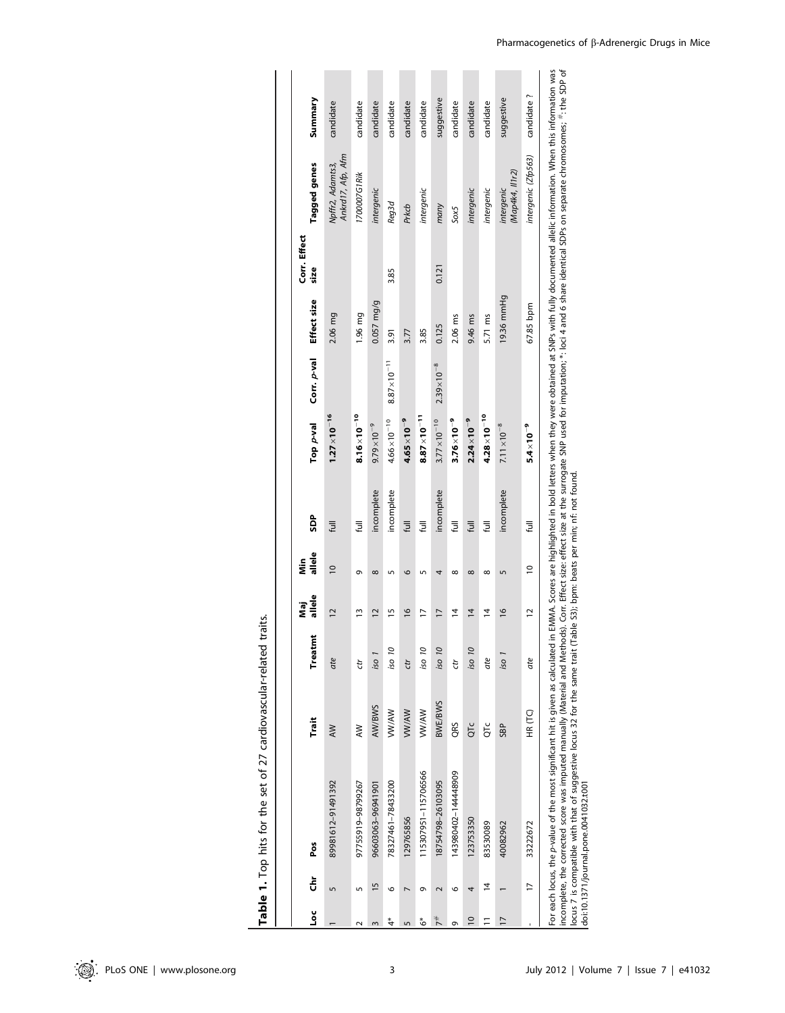| L٥c       | Ğ              | Pos                                                                                                                                                                                                                                                                                                                                                                                                                            | Trait          | Treatmt | allele<br>Ϊg    | allele<br>έ    | 9gs                                            | Top p-val              | Corr. p-val            | Effect size | Corr. Effect<br>size | Tagged genes                                                                                                                                                | Summary    |
|-----------|----------------|--------------------------------------------------------------------------------------------------------------------------------------------------------------------------------------------------------------------------------------------------------------------------------------------------------------------------------------------------------------------------------------------------------------------------------|----------------|---------|-----------------|----------------|------------------------------------------------|------------------------|------------------------|-------------|----------------------|-------------------------------------------------------------------------------------------------------------------------------------------------------------|------------|
|           |                | 89981612-91491392                                                                                                                                                                                                                                                                                                                                                                                                              | <b>AW</b>      | ate     | 2               | $\overline{a}$ | $\overline{u}$                                 | $1.27 \times 10^{-16}$ |                        | 2.06 mg     |                      | Ankrd17, Afp, Afm<br>Npffr2, Adamts3,                                                                                                                       | candidate  |
| $\sim$    | 5              | 97755919-98799267                                                                                                                                                                                                                                                                                                                                                                                                              | λW             | đ       | m               | ō              | J                                              | $8.16 \times 10^{-10}$ |                        | 1.96 mg     |                      | 1700007G1Rik                                                                                                                                                | candidate  |
| 3         | 15             | 96603063-96941901                                                                                                                                                                                                                                                                                                                                                                                                              | AW/BWS         | iso 1   | $\overline{2}$  | $\infty$       | incomplete                                     | $9.79\times10^{-9}$    |                        | 0.057 mg/g  |                      | intergenic                                                                                                                                                  | candidate  |
| ₹         | O              | 78327461-78433200                                                                                                                                                                                                                                                                                                                                                                                                              | WA/AW          | 01 osi  | $\overline{5}$  | Ľn             | incomplete                                     | $4.66 \times 10^{-10}$ | $8.87 \times 10^{-11}$ | 3.91        | 3.85                 | Reg3d                                                                                                                                                       | candidate  |
| S         |                | 129765856                                                                                                                                                                                                                                                                                                                                                                                                                      | WA/AW          | tr      | $\frac{6}{2}$   | 6              | $\overline{a}$                                 | $4.65 \times 10^{-9}$  |                        | 3.77        |                      | Prkcb                                                                                                                                                       | candidate  |
| তঁ        | ō              | 115307951-115706566                                                                                                                                                                                                                                                                                                                                                                                                            | WA/AW          | 01 osi  | $\overline{1}$  | LO             | Į                                              | $8.87 \times 10^{-11}$ |                        | 3.85        |                      | intergenic                                                                                                                                                  | candidate  |
| 7#        |                | 8754798-26103095                                                                                                                                                                                                                                                                                                                                                                                                               | <b>BWE/BWS</b> | iso 10  | $\overline{17}$ | 4              | incomplete                                     | $3.77 \times 10^{-10}$ | $2.39 \times 10^{-8}$  | 0.125       | 0.121                | many                                                                                                                                                        | suggestive |
| Ō         | $\circ$        | 143980402-144448909                                                                                                                                                                                                                                                                                                                                                                                                            | QRS            | đ       | $\overline{4}$  | $^{\circ}$     | Į                                              | $3.76 \times 10^{-9}$  |                        | 2.06 ms     |                      | Sox5                                                                                                                                                        | candidate  |
| $\approx$ | 4              | 123753350                                                                                                                                                                                                                                                                                                                                                                                                                      | QΤC            | iso 10  | $\overline{4}$  | $\infty$       | $\overline{a}$                                 | $2.24 \times 10^{-9}$  |                        | 9.46 ms     |                      | intergenic                                                                                                                                                  | candidate  |
| Ξ         | $\overline{4}$ | 83530089                                                                                                                                                                                                                                                                                                                                                                                                                       | ŪΣ             | ate     | $\overline{4}$  | $^{\circ}$     | Ē                                              | $4.28 \times 10^{-10}$ |                        | $5.71$ ms   |                      | intergenic                                                                                                                                                  | candidate  |
| 17        |                | 40082962                                                                                                                                                                                                                                                                                                                                                                                                                       | <b>SBP</b>     | iso 1   | $\frac{6}{2}$   | $\sqrt{ }$     | incomplete                                     | $7.11 \times 10^{-8}$  |                        | 19.36 mmHg  |                      | (Map4k4, II1r2)<br>intergenic                                                                                                                               | suggestive |
|           | $\overline{1}$ | 33222672                                                                                                                                                                                                                                                                                                                                                                                                                       | HR (TC)        | ate     | $\overline{1}$  | $\overline{a}$ | Ē                                              | $5.4 \times 10^{-9}$   |                        | 67.85 bpm   |                      | intergenic (Zfp563)                                                                                                                                         | candidate? |
|           |                | For each locus, the p-value of the most significant hit is given as calculated in EMMA. Scores are highlighted in bold letters when they were obtained at SNPs with fully documented allelic information. When this informatio<br>incomplete, the corrected score was imputed manually (Material and Met<br>locus 7 is compatible with that of suggestive locus 32 for the same trait<br>doi:10.1371/journal.pone.0041032.t001 |                |         |                 |                | (Table S3); bpm: beats per min; nf: not found. |                        |                        |             |                      | nods). Corr. Effect size: effect size at the surrogate SNP used for imputation; *: loci 4 and 6 share identical SDPs on separate chromosomes; *: the SDP of |            |

| りょうこうこ ようここりょうこうこうこう<br>l |
|---------------------------|
| 5<br>5<br>ļ<br>J<br>Ĩ.    |
| op hits for the set of    |
|                           |
|                           |
|                           |
|                           |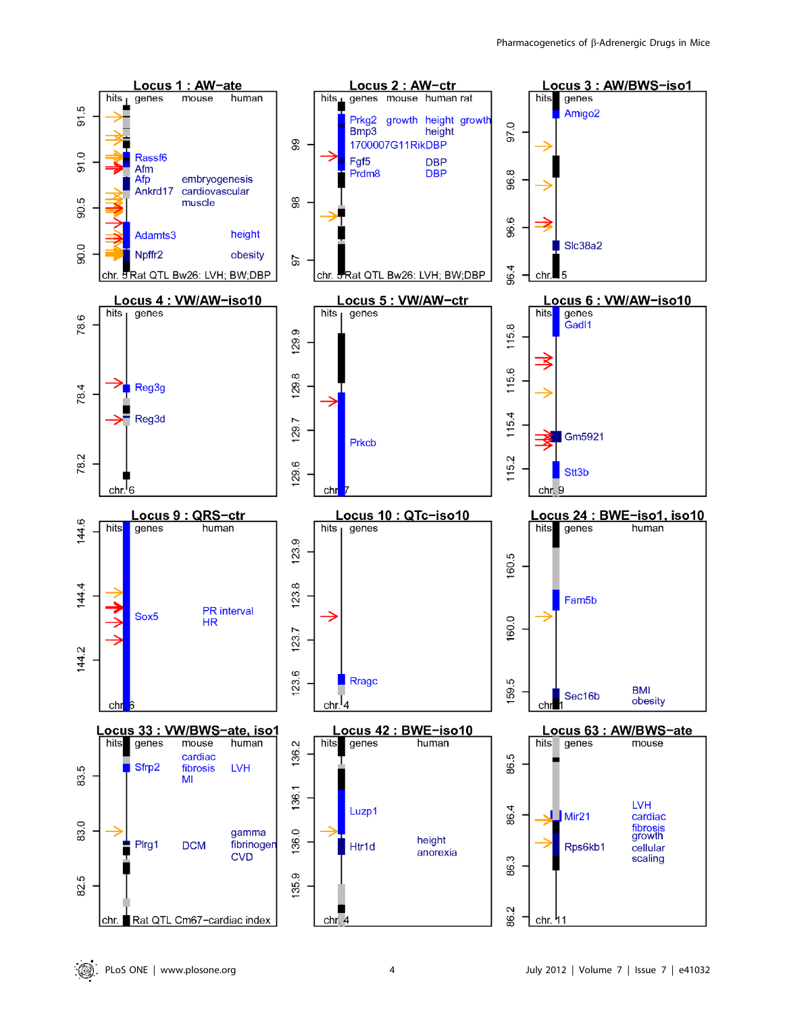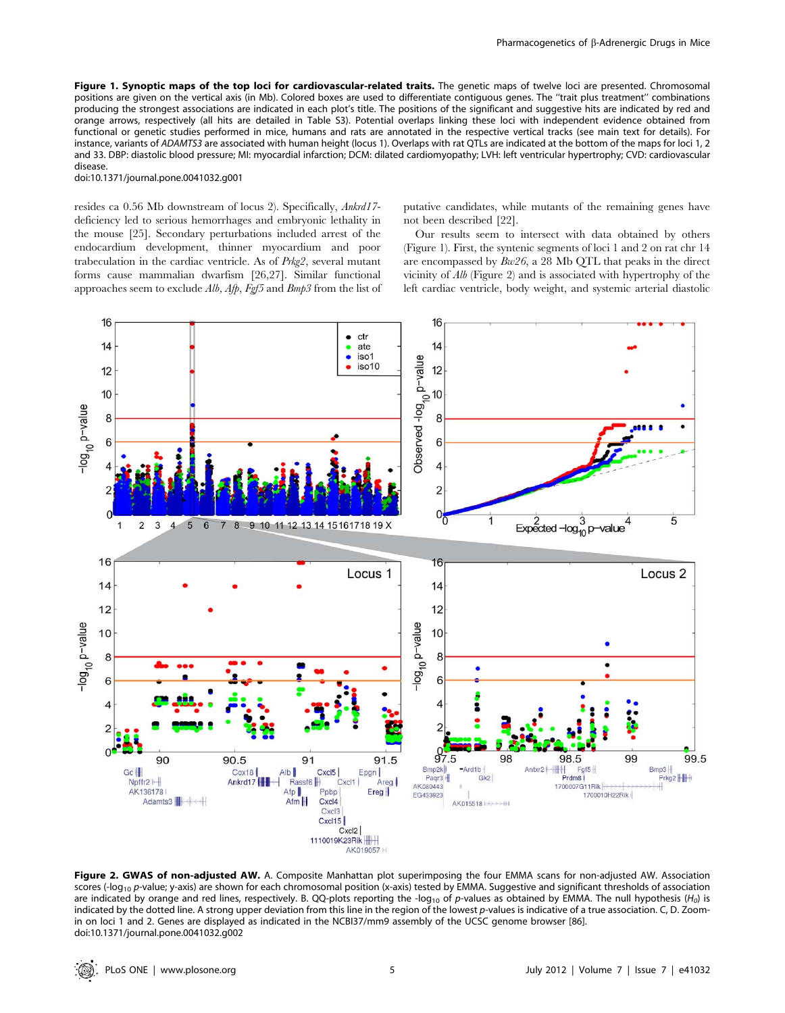Figure 1. Synoptic maps of the top loci for cardiovascular-related traits. The genetic maps of twelve loci are presented. Chromosomal positions are given on the vertical axis (in Mb). Colored boxes are used to differentiate contiguous genes. The ''trait plus treatment'' combinations producing the strongest associations are indicated in each plot's title. The positions of the significant and suggestive hits are indicated by red and orange arrows, respectively (all hits are detailed in Table S3). Potential overlaps linking these loci with independent evidence obtained from functional or genetic studies performed in mice, humans and rats are annotated in the respective vertical tracks (see main text for details). For instance, variants of ADAMTS3 are associated with human height (locus 1). Overlaps with rat QTLs are indicated at the bottom of the maps for loci 1, 2 and 33. DBP: diastolic blood pressure; MI: myocardial infarction; DCM: dilated cardiomyopathy; LVH: left ventricular hypertrophy; CVD: cardiovascular disease.

doi:10.1371/journal.pone.0041032.g001

resides ca 0.56 Mb downstream of locus 2). Specifically, Ankrd17 deficiency led to serious hemorrhages and embryonic lethality in the mouse [25]. Secondary perturbations included arrest of the endocardium development, thinner myocardium and poor trabeculation in the cardiac ventricle. As of Prkg2, several mutant forms cause mammalian dwarfism [26,27]. Similar functional approaches seem to exclude Alb, Afp, Fgf5 and Bmp3 from the list of putative candidates, while mutants of the remaining genes have not been described [22].

Our results seem to intersect with data obtained by others (Figure 1). First, the syntenic segments of loci 1 and 2 on rat chr 14 are encompassed by  $Bw26$ , a 28 Mb QTL that peaks in the direct vicinity of Alb (Figure 2) and is associated with hypertrophy of the left cardiac ventricle, body weight, and systemic arterial diastolic



Figure 2. GWAS of non-adjusted AW. A. Composite Manhattan plot superimposing the four EMMA scans for non-adjusted AW. Association scores (-log<sub>10</sub> p-value; y-axis) are shown for each chromosomal position (x-axis) tested by EMMA. Suggestive and significant thresholds of association are indicated by orange and red lines, respectively. B. QQ-plots reporting the -log<sub>10</sub> of p-values as obtained by EMMA. The null hypothesis (H<sub>0</sub>) is indicated by the dotted line. A strong upper deviation from this line in the region of the lowest p-values is indicative of a true association. C, D. Zoomin on loci 1 and 2. Genes are displayed as indicated in the NCBI37/mm9 assembly of the UCSC genome browser [86]. doi:10.1371/journal.pone.0041032.g002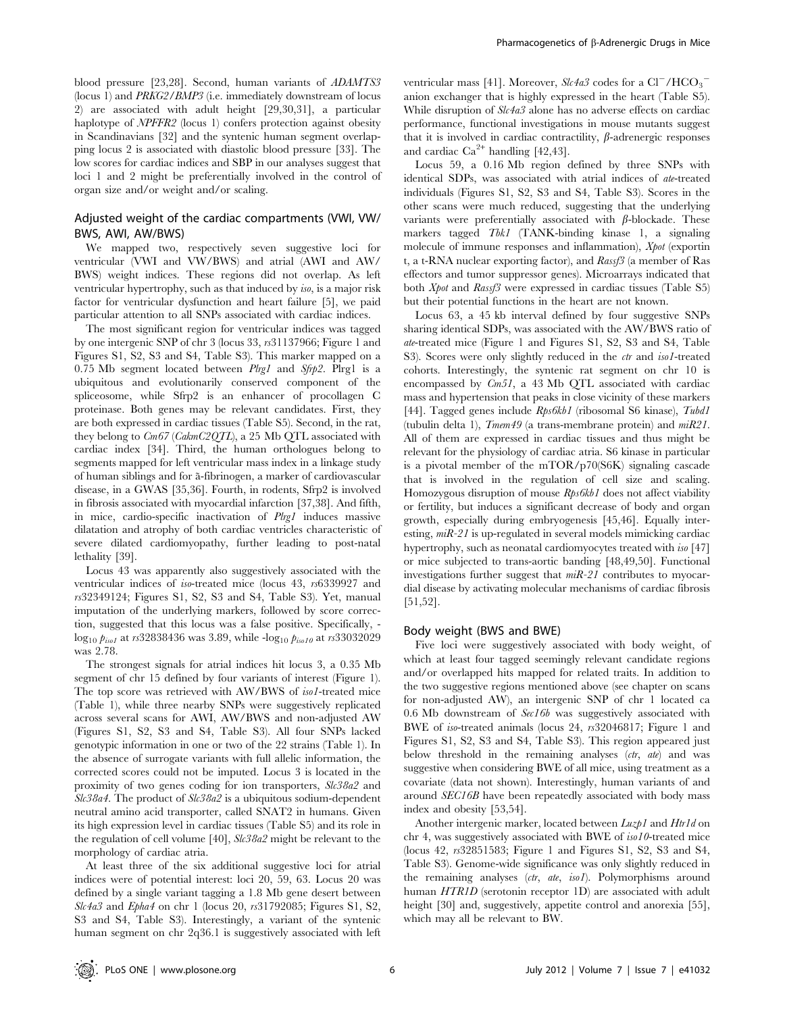blood pressure [23,28]. Second, human variants of ADAMTS3 (locus 1) and PRKG2/BMP3 (i.e. immediately downstream of locus 2) are associated with adult height [29,30,31], a particular haplotype of NPFFR2 (locus 1) confers protection against obesity in Scandinavians [32] and the syntenic human segment overlapping locus 2 is associated with diastolic blood pressure [33]. The low scores for cardiac indices and SBP in our analyses suggest that loci 1 and 2 might be preferentially involved in the control of organ size and/or weight and/or scaling.

## Adjusted weight of the cardiac compartments (VWI, VW/ BWS, AWI, AW/BWS)

We mapped two, respectively seven suggestive loci for ventricular (VWI and VW/BWS) and atrial (AWI and AW/ BWS) weight indices. These regions did not overlap. As left ventricular hypertrophy, such as that induced by iso, is a major risk factor for ventricular dysfunction and heart failure [5], we paid particular attention to all SNPs associated with cardiac indices.

The most significant region for ventricular indices was tagged by one intergenic SNP of chr 3 (locus 33, rs31137966; Figure 1 and Figures S1, S2, S3 and S4, Table S3). This marker mapped on a 0.75 Mb segment located between  $Plrg1$  and  $Sfrp2$ . Plrg1 is a ubiquitous and evolutionarily conserved component of the spliceosome, while Sfrp2 is an enhancer of procollagen C proteinase. Both genes may be relevant candidates. First, they are both expressed in cardiac tissues (Table S5). Second, in the rat, they belong to Cm67 (CakmC2QTL), a 25 Mb QTL associated with cardiac index [34]. Third, the human orthologues belong to segments mapped for left ventricular mass index in a linkage study of human siblings and for  $\tilde{a}$ -fibrinogen, a marker of cardiovascular disease, in a GWAS [35,36]. Fourth, in rodents, Sfrp2 is involved in fibrosis associated with myocardial infarction [37,38]. And fifth, in mice, cardio-specific inactivation of Plrg1 induces massive dilatation and atrophy of both cardiac ventricles characteristic of severe dilated cardiomyopathy, further leading to post-natal lethality [39].

Locus 43 was apparently also suggestively associated with the ventricular indices of iso-treated mice (locus 43, rs6339927 and rs32349124; Figures S1, S2, S3 and S4, Table S3). Yet, manual imputation of the underlying markers, followed by score correction, suggested that this locus was a false positive. Specifically, -  $\log_{10} p_{iso1}$  at rs32838436 was 3.89, while  $-\log_{10} p_{iso10}$  at rs33032029 was 2.78.

The strongest signals for atrial indices hit locus 3, a 0.35 Mb segment of chr 15 defined by four variants of interest (Figure 1). The top score was retrieved with AW/BWS of isol-treated mice (Table 1), while three nearby SNPs were suggestively replicated across several scans for AWI, AW/BWS and non-adjusted AW (Figures S1, S2, S3 and S4, Table S3). All four SNPs lacked genotypic information in one or two of the 22 strains (Table 1). In the absence of surrogate variants with full allelic information, the corrected scores could not be imputed. Locus 3 is located in the proximity of two genes coding for ion transporters, Slc38a2 and Slc38a4. The product of Slc38a2 is a ubiquitous sodium-dependent neutral amino acid transporter, called SNAT2 in humans. Given its high expression level in cardiac tissues (Table S5) and its role in the regulation of cell volume [40], Slc38a2 might be relevant to the morphology of cardiac atria.

At least three of the six additional suggestive loci for atrial indices were of potential interest: loci 20, 59, 63. Locus 20 was defined by a single variant tagging a 1.8 Mb gene desert between Slc4a3 and Epha4 on chr 1 (locus 20, rs31792085; Figures S1, S2, S3 and S4, Table S3). Interestingly, a variant of the syntenic human segment on chr 2q36.1 is suggestively associated with left

ventricular mass [41]. Moreover, *Slc4a3* codes for a  $Cl^{-}/HCO_{3}^{-}$ anion exchanger that is highly expressed in the heart (Table S5). While disruption of  $S/c4a3$  alone has no adverse effects on cardiac performance, functional investigations in mouse mutants suggest that it is involved in cardiac contractility,  $\beta$ -adrenergic responses and cardiac  $Ca^{2+}$  handling [42,43].

Locus 59, a 0.16 Mb region defined by three SNPs with identical SDPs, was associated with atrial indices of ate-treated individuals (Figures S1, S2, S3 and S4, Table S3). Scores in the other scans were much reduced, suggesting that the underlying variants were preferentially associated with  $\beta$ -blockade. These markers tagged Tbk1 (TANK-binding kinase 1, a signaling molecule of immune responses and inflammation), Xpot (exportin t, a t-RNA nuclear exporting factor), and Rassf3 (a member of Ras effectors and tumor suppressor genes). Microarrays indicated that both Xpot and Rassf3 were expressed in cardiac tissues (Table S5) but their potential functions in the heart are not known.

Locus 63, a 45 kb interval defined by four suggestive SNPs sharing identical SDPs, was associated with the AW/BWS ratio of ate-treated mice (Figure 1 and Figures S1, S2, S3 and S4, Table S3). Scores were only slightly reduced in the *ctr* and *iso1*-treated cohorts. Interestingly, the syntenic rat segment on chr 10 is encompassed by Cm51, a 43 Mb QTL associated with cardiac mass and hypertension that peaks in close vicinity of these markers [44]. Tagged genes include Rps6kb1 (ribosomal S6 kinase), Tubd1 (tubulin delta 1),  $Tmem49$  (a trans-membrane protein) and  $mR21$ . All of them are expressed in cardiac tissues and thus might be relevant for the physiology of cardiac atria. S6 kinase in particular is a pivotal member of the mTOR/p70(S6K) signaling cascade that is involved in the regulation of cell size and scaling. Homozygous disruption of mouse Rps6kb1 does not affect viability or fertility, but induces a significant decrease of body and organ growth, especially during embryogenesis [45,46]. Equally interesting,  $mR-21$  is up-regulated in several models mimicking cardiac hypertrophy, such as neonatal cardiomyocytes treated with iso [47] or mice subjected to trans-aortic banding [48,49,50]. Functional investigations further suggest that miR-21 contributes to myocardial disease by activating molecular mechanisms of cardiac fibrosis [51,52].

#### Body weight (BWS and BWE)

Five loci were suggestively associated with body weight, of which at least four tagged seemingly relevant candidate regions and/or overlapped hits mapped for related traits. In addition to the two suggestive regions mentioned above (see chapter on scans for non-adjusted AW), an intergenic SNP of chr 1 located ca 0.6 Mb downstream of Sec16b was suggestively associated with BWE of iso-treated animals (locus 24, rs32046817; Figure 1 and Figures S1, S2, S3 and S4, Table S3). This region appeared just below threshold in the remaining analyses  $(\text{ctr}, \text{ate})$  and was suggestive when considering BWE of all mice, using treatment as a covariate (data not shown). Interestingly, human variants of and around SEC16B have been repeatedly associated with body mass index and obesity [53,54].

Another intergenic marker, located between Luzp1 and Htr1d on chr 4, was suggestively associated with BWE of iso10-treated mice (locus 42, rs32851583; Figure 1 and Figures S1, S2, S3 and S4, Table S3). Genome-wide significance was only slightly reduced in the remaining analyses (ctr, ate, iso1). Polymorphisms around human *HTR1D* (serotonin receptor 1D) are associated with adult height [30] and, suggestively, appetite control and anorexia [55], which may all be relevant to BW.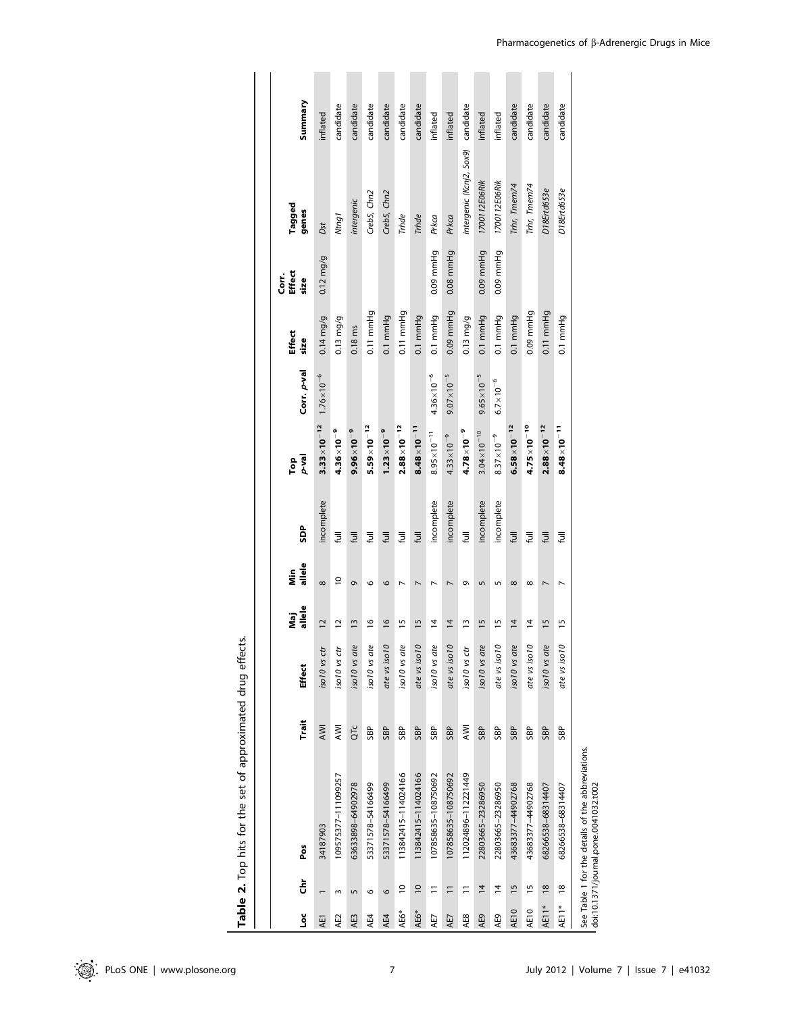| ں<br>وا         | ຮ້              | Pos                                               | Trait | Effect        | allele<br>Ñај  | Nin<br>allele  | ទីប                       | pval<br>Top            | Corr. p-val           | <b>Effect</b><br>size | Corr.<br>Effect<br>size | Tagged<br>genes          | Summary   |
|-----------------|-----------------|---------------------------------------------------|-------|---------------|----------------|----------------|---------------------------|------------------------|-----------------------|-----------------------|-------------------------|--------------------------|-----------|
| AE <sub>1</sub> |                 | 34187903                                          | AWI   | iso10 vs ctr  | $\overline{c}$ | $\infty$       | incomplete                | $3.33 \times 10^{-12}$ | $1.76 \times 10^{-6}$ | $0.14 \, \text{mg/g}$ | $0.12 \text{ mg/g}$     | Dst                      | inflated  |
| AE <sub>2</sub> | $\sim$          | 109575377-111099257                               | AWI   | iso10 vs ctr  | $\overline{c}$ | $\overline{c}$ | $\overline{a}$            | $4.36 \times 10^{-9}$  |                       | 0.13 mg/g             |                         | Ntng1                    | candidate |
| AE3             | 5               | 63633898-64902978                                 | QΤC   | iso10 vs ate  | $\overline{1}$ | G              | $\overline{u}$            | $9.96\times10^{-9}$    |                       | $0.18$ ms             |                         | intergenic               | candidate |
| AE4             | 6               | 53371578-54166499                                 | SBP   | iso10 vs ate  | $\overline{6}$ | $\circ$        | $\overline{u}$            | $5.59 \times 10^{-12}$ |                       | 0.11 mmHg             |                         | Creb5, Chn2              | candidate |
| AE4             | $\circ$         | 53371578-54166499                                 | SBP   | ate vs iso10  | $\frac{8}{2}$  | $\circ$        | $\overline{u}$            | $1.23 \times 10^{-9}$  |                       | $0.1$ mmHg            |                         | Creb5, Chn2              | candidate |
| AE6*            | $\overline{10}$ | 113842415-114024166                               | SBP   | iso10 vs ate  | 5ı             |                | $\overline{u}$            | $2.88\times10^{-12}$   |                       | 0.11 mmHg             |                         | Trhde                    | candidate |
| AE6*            | $\overline{0}$  | 113842415-114024166                               | SBP   | ate vs iso10  | 15             | $\overline{ }$ | $\overline{a}$            | $8.48 \times 10^{-11}$ |                       | $0.1$ mmHg            |                         | Trhde                    | candidate |
| AE7             | $\overline{1}$  | 107858635-108750692                               | SBP   | iso10 vs ate  | $\overline{4}$ |                | incomplete                | $8.95 \times 10^{-11}$ | $4.36 \times 10^{-6}$ | $0.1$ mmHg            | 0.09 mmHg               | Prkca                    | inflated  |
| AE7             | $\overline{1}$  | 107858635-108750692                               | SBP   | ate vs iso10  | $\overline{4}$ | $\overline{ }$ | incomplete                | $4.33 \times 10^{-9}$  | $9.07 \times 10^{-5}$ | 0.09 mm Hg            | 0.08 mmHg               | Prkca                    | inflated  |
| AE8             | $\Xi$           | 112024896-112221449                               | AWI   | iso10 vs ctr  | $\tilde{=}$    | G              | $\overline{a}$            | $4.78 \times 10^{-9}$  |                       | $0.13$ mg/g           |                         | intergenic (Kcnj2, Sox9) | candidate |
| AE9             | $\overline{4}$  | 22803665-23286950                                 | SBP   | iso10 vs ate  | $\overline{1}$ | $\overline{a}$ | incomplete                | $3.04 \times 10^{-10}$ | $9.65 \times 10^{-5}$ | $0.1$ mmHg            | 0.09 mmHg               | 1700112E06Rik            | inflated  |
| AE9             | $\overline{4}$  | 22803665-23286950                                 | SBP   | ate vs iso10  | 5h             | 5              | incomplete                | $8.37 \times 10^{-9}$  | $6.7 \times 10^{-6}$  | $0.1$ mmHg            | 0.09 mmHg               | 1700112E06Rik            | inflated  |
| <b>AE10</b>     | $\frac{5}{2}$   | 43683377-44902768                                 | SBP   | iso 10 vs ate | $\overline{4}$ | $\infty$       | $\overline{u}$            | $6.58\times10^{-12}$   |                       | 0.1 mmHg              |                         | Trhr, Tmem74             | candidate |
| <b>AE10</b>     | 15              | 43683377-44902768                                 | SBP   | ate vs iso10  | 4              | $\infty$       | $\overline{u}$            | $4.75 \times 10^{-10}$ |                       | 0.09 mmHg             |                         | Trhr, Tmem74             | candidate |
| AE11*           | $\frac{8}{2}$   | 68266538-68314407                                 | SBP   | iso10 vs ate  | $\overline{1}$ | $\overline{ }$ | $\overline{\overline{u}}$ | $2.88\times10^{-12}$   |                       | 0.11 mmHg             |                         | D <sub>18Ertd653e</sub>  | candidate |
| AE11*           | $\frac{8}{2}$   | 68266538-68314407                                 | SBP   | ate vs iso10  | 15             |                | $\overline{a}$            | $8.48 \times 10^{-11}$ |                       | 0.1 mmHg              |                         | D18Ertd653e              | candidate |
|                 |                 | See Table 1 for the details of the abbreviations. |       |               |                |                |                           |                        |                       |                       |                         |                          |           |

Table 2. Top hits for the set of approximated drug effects. Table 2. Top hits for the set of approximated drug effects.

See Table 1 for the details of the abbreviations.<br>I doi:10.1371/journal.pone.0041032.t002 doi:10.1371/journal.pone.0041032.t002

 $\frac{1}{2}$  PLoS ONE | www.plosone.org 7 7 July 2012 | Volume 7 | Issue 7 | e41032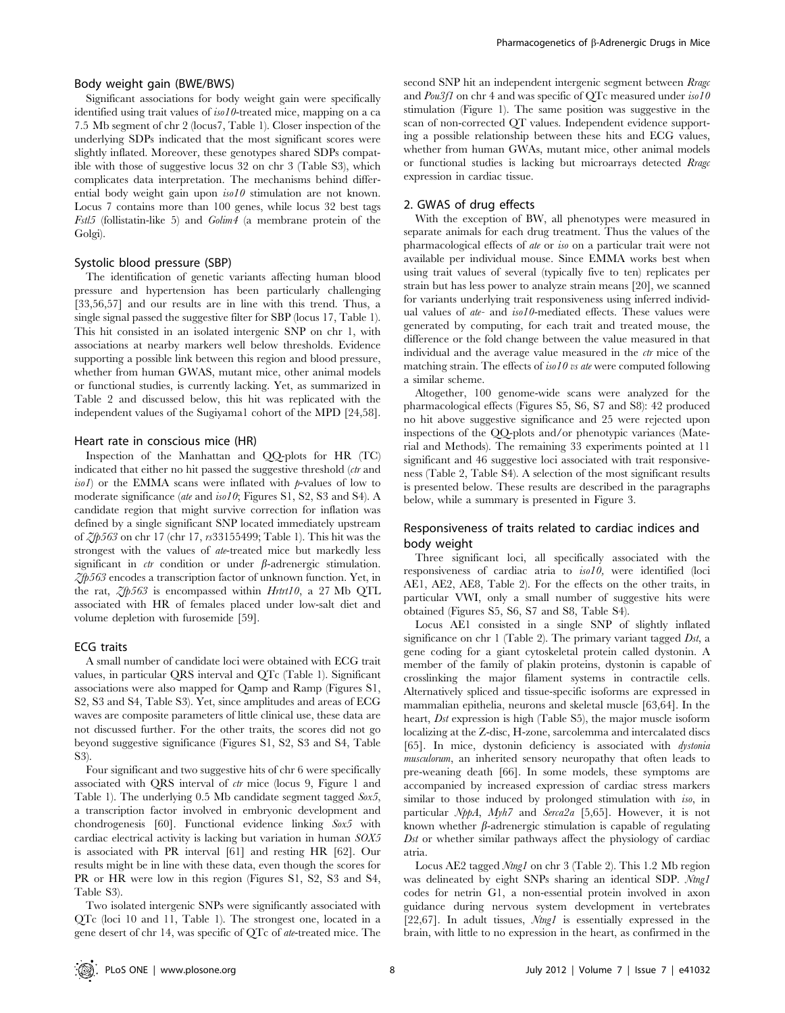## Body weight gain (BWE/BWS)

Significant associations for body weight gain were specifically identified using trait values of iso10-treated mice, mapping on a ca 7.5 Mb segment of chr 2 (locus7, Table 1). Closer inspection of the underlying SDPs indicated that the most significant scores were slightly inflated. Moreover, these genotypes shared SDPs compatible with those of suggestive locus 32 on chr 3 (Table S3), which complicates data interpretation. The mechanisms behind differential body weight gain upon  $isol\theta$  stimulation are not known. Locus 7 contains more than 100 genes, while locus 32 best tags Fstl5 (follistatin-like 5) and Golim4 (a membrane protein of the Golgi).

#### Systolic blood pressure (SBP)

The identification of genetic variants affecting human blood pressure and hypertension has been particularly challenging [33,56,57] and our results are in line with this trend. Thus, a single signal passed the suggestive filter for SBP (locus 17, Table 1). This hit consisted in an isolated intergenic SNP on chr 1, with associations at nearby markers well below thresholds. Evidence supporting a possible link between this region and blood pressure, whether from human GWAS, mutant mice, other animal models or functional studies, is currently lacking. Yet, as summarized in Table 2 and discussed below, this hit was replicated with the independent values of the Sugiyama1 cohort of the MPD [24,58].

#### Heart rate in conscious mice (HR)

Inspection of the Manhattan and QQ-plots for HR (TC) indicated that either no hit passed the suggestive threshold  $(\text{ctr and})$  $i\in I$  or the EMMA scans were inflated with  $p$ -values of low to moderate significance (ate and iso10; Figures S1, S2, S3 and S4). A candidate region that might survive correction for inflation was defined by a single significant SNP located immediately upstream of Zfp563 on chr 17 (chr 17, rs33155499; Table 1). This hit was the strongest with the values of ate-treated mice but markedly less significant in *ctr* condition or under  $\beta$ -adrenergic stimulation.  $Zf\bar{p}563$  encodes a transcription factor of unknown function. Yet, in the rat,  $\zeta$ fb563 is encompassed within Hrtrt10, a 27 Mb OTL associated with HR of females placed under low-salt diet and volume depletion with furosemide [59].

#### ECG traits

A small number of candidate loci were obtained with ECG trait values, in particular QRS interval and QTc (Table 1). Significant associations were also mapped for Qamp and Ramp (Figures S1, S2, S3 and S4, Table S3). Yet, since amplitudes and areas of ECG waves are composite parameters of little clinical use, these data are not discussed further. For the other traits, the scores did not go beyond suggestive significance (Figures S1, S2, S3 and S4, Table S3).

Four significant and two suggestive hits of chr 6 were specifically associated with QRS interval of ctr mice (locus 9, Figure 1 and Table 1). The underlying 0.5 Mb candidate segment tagged Sox5, a transcription factor involved in embryonic development and chondrogenesis [60]. Functional evidence linking Sox5 with cardiac electrical activity is lacking but variation in human SOX5 is associated with PR interval [61] and resting HR [62]. Our results might be in line with these data, even though the scores for PR or HR were low in this region (Figures S1, S2, S3 and S4, Table S3).

Two isolated intergenic SNPs were significantly associated with QTc (loci 10 and 11, Table 1). The strongest one, located in a gene desert of chr 14, was specific of QTc of ate-treated mice. The

second SNP hit an independent intergenic segment between Rragc and Pou3f1 on chr 4 and was specific of QTc measured under iso10 stimulation (Figure 1). The same position was suggestive in the scan of non-corrected QT values. Independent evidence supporting a possible relationship between these hits and ECG values, whether from human GWAs, mutant mice, other animal models or functional studies is lacking but microarrays detected Rragc expression in cardiac tissue.

#### 2. GWAS of drug effects

With the exception of BW, all phenotypes were measured in separate animals for each drug treatment. Thus the values of the pharmacological effects of ate or iso on a particular trait were not available per individual mouse. Since EMMA works best when using trait values of several (typically five to ten) replicates per strain but has less power to analyze strain means [20], we scanned for variants underlying trait responsiveness using inferred individual values of ate- and iso10-mediated effects. These values were generated by computing, for each trait and treated mouse, the difference or the fold change between the value measured in that individual and the average value measured in the *ctr* mice of the matching strain. The effects of iso10 vs ate were computed following a similar scheme.

Altogether, 100 genome-wide scans were analyzed for the pharmacological effects (Figures S5, S6, S7 and S8): 42 produced no hit above suggestive significance and 25 were rejected upon inspections of the QQ-plots and/or phenotypic variances (Material and Methods). The remaining 33 experiments pointed at 11 significant and 46 suggestive loci associated with trait responsiveness (Table 2, Table S4). A selection of the most significant results is presented below. These results are described in the paragraphs below, while a summary is presented in Figure 3.

## Responsiveness of traits related to cardiac indices and body weight

Three significant loci, all specifically associated with the responsiveness of cardiac atria to iso10, were identified (loci AE1, AE2, AE8, Table 2). For the effects on the other traits, in particular VWI, only a small number of suggestive hits were obtained (Figures S5, S6, S7 and S8, Table S4).

Locus AE1 consisted in a single SNP of slightly inflated significance on chr 1 (Table 2). The primary variant tagged  $Dst$ , a gene coding for a giant cytoskeletal protein called dystonin. A member of the family of plakin proteins, dystonin is capable of crosslinking the major filament systems in contractile cells. Alternatively spliced and tissue-specific isoforms are expressed in mammalian epithelia, neurons and skeletal muscle [63,64]. In the heart, *Dst* expression is high (Table S5), the major muscle isoform localizing at the Z-disc, H-zone, sarcolemma and intercalated discs [65]. In mice, dystonin deficiency is associated with *dystonia* musculorum, an inherited sensory neuropathy that often leads to pre-weaning death [66]. In some models, these symptoms are accompanied by increased expression of cardiac stress markers similar to those induced by prolonged stimulation with iso, in particular NppA, Myh7 and Serca2a [5,65]. However, it is not known whether  $\beta$ -adrenergic stimulation is capable of regulating Dst or whether similar pathways affect the physiology of cardiac atria.

Locus AE2 tagged Ntng1 on chr 3 (Table 2). This 1.2 Mb region was delineated by eight SNPs sharing an identical SDP. Ntng1 codes for netrin G1, a non-essential protein involved in axon guidance during nervous system development in vertebrates [22,67]. In adult tissues,  $Ntngl$  is essentially expressed in the brain, with little to no expression in the heart, as confirmed in the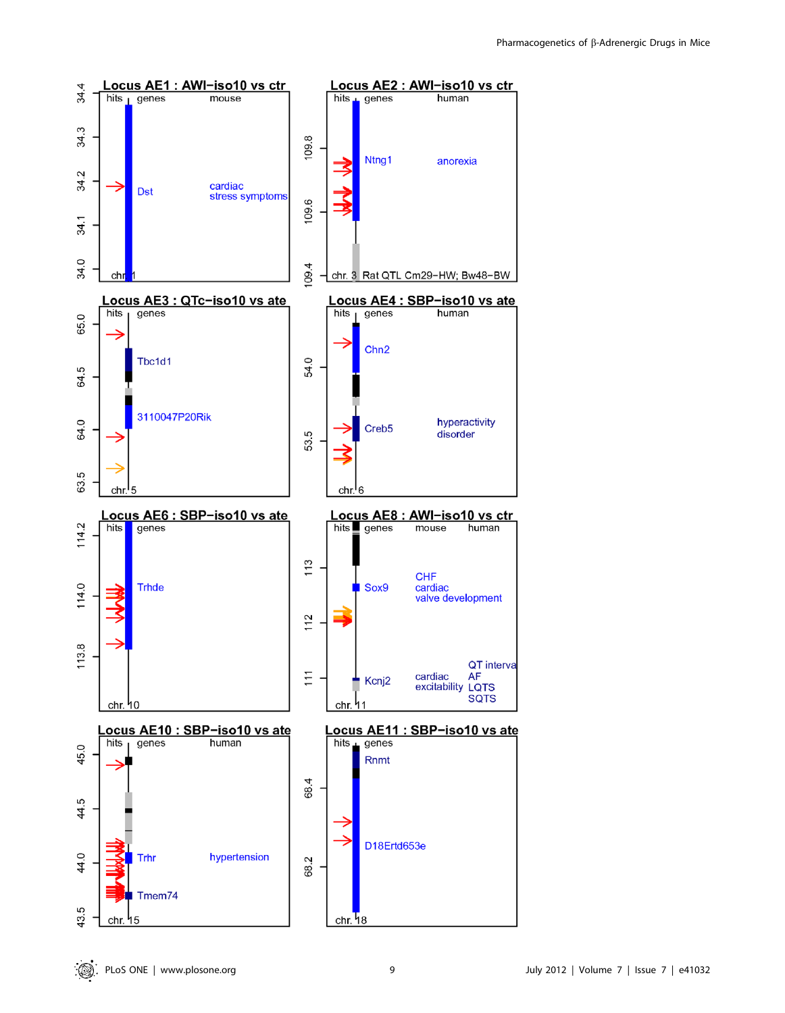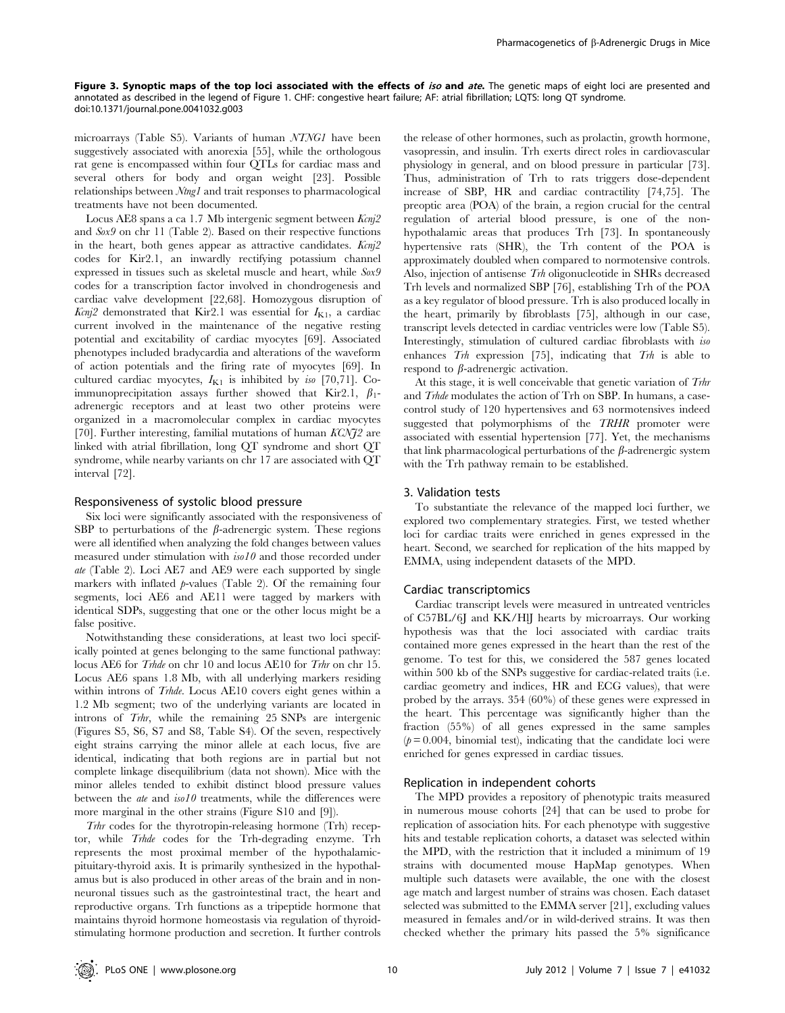Figure 3. Synoptic maps of the top loci associated with the effects of iso and ate. The genetic maps of eight loci are presented and annotated as described in the legend of Figure 1. CHF: congestive heart failure; AF: atrial fibrillation; LQTS: long QT syndrome. doi:10.1371/journal.pone.0041032.g003

microarrays (Table S5). Variants of human NTNG1 have been suggestively associated with anorexia [55], while the orthologous rat gene is encompassed within four QTLs for cardiac mass and several others for body and organ weight [23]. Possible relationships between *Ntng1* and trait responses to pharmacological treatments have not been documented.

Locus AE8 spans a ca 1.7 Mb intergenic segment between  $\textit{Kcnj2}$ and Sox9 on chr 11 (Table 2). Based on their respective functions in the heart, both genes appear as attractive candidates.  $Kcm^2$ codes for Kir2.1, an inwardly rectifying potassium channel expressed in tissues such as skeletal muscle and heart, while Sox9 codes for a transcription factor involved in chondrogenesis and cardiac valve development [22,68]. Homozygous disruption of Kcnj2 demonstrated that Kir2.1 was essential for  $I_{K1}$ , a cardiac current involved in the maintenance of the negative resting potential and excitability of cardiac myocytes [69]. Associated phenotypes included bradycardia and alterations of the waveform of action potentials and the firing rate of myocytes [69]. In cultured cardiac myocytes,  $I_{K1}$  is inhibited by iso [70,71]. Coimmunoprecipitation assays further showed that Kir2.1,  $\beta_1$ adrenergic receptors and at least two other proteins were organized in a macromolecular complex in cardiac myocytes [70]. Further interesting, familial mutations of human  $KCNJ2$  are linked with atrial fibrillation, long QT syndrome and short QT syndrome, while nearby variants on chr 17 are associated with QT interval [72].

## Responsiveness of systolic blood pressure

Six loci were significantly associated with the responsiveness of SBP to perturbations of the  $\beta$ -adrenergic system. These regions were all identified when analyzing the fold changes between values measured under stimulation with iso10 and those recorded under ate (Table 2). Loci AE7 and AE9 were each supported by single markers with inflated  $p$ -values (Table 2). Of the remaining four segments, loci AE6 and AE11 were tagged by markers with identical SDPs, suggesting that one or the other locus might be a false positive.

Notwithstanding these considerations, at least two loci specifically pointed at genes belonging to the same functional pathway: locus AE6 for Trhde on chr 10 and locus AE10 for Trhr on chr 15. Locus AE6 spans 1.8 Mb, with all underlying markers residing within introns of *Trhde*. Locus AE10 covers eight genes within a 1.2 Mb segment; two of the underlying variants are located in introns of Trhr, while the remaining 25 SNPs are intergenic (Figures S5, S6, S7 and S8, Table S4). Of the seven, respectively eight strains carrying the minor allele at each locus, five are identical, indicating that both regions are in partial but not complete linkage disequilibrium (data not shown). Mice with the minor alleles tended to exhibit distinct blood pressure values between the *ate* and  $iso10$  treatments, while the differences were more marginal in the other strains (Figure S10 and [9]).

Trhr codes for the thyrotropin-releasing hormone (Trh) receptor, while *Trhde* codes for the Trh-degrading enzyme. Trh represents the most proximal member of the hypothalamicpituitary-thyroid axis. It is primarily synthesized in the hypothalamus but is also produced in other areas of the brain and in nonneuronal tissues such as the gastrointestinal tract, the heart and reproductive organs. Trh functions as a tripeptide hormone that maintains thyroid hormone homeostasis via regulation of thyroidstimulating hormone production and secretion. It further controls

the release of other hormones, such as prolactin, growth hormone, vasopressin, and insulin. Trh exerts direct roles in cardiovascular physiology in general, and on blood pressure in particular [73]. Thus, administration of Trh to rats triggers dose-dependent increase of SBP, HR and cardiac contractility [74,75]. The preoptic area (POA) of the brain, a region crucial for the central regulation of arterial blood pressure, is one of the nonhypothalamic areas that produces Trh [73]. In spontaneously hypertensive rats (SHR), the Trh content of the POA is approximately doubled when compared to normotensive controls. Also, injection of antisense Trh oligonucleotide in SHRs decreased Trh levels and normalized SBP [76], establishing Trh of the POA as a key regulator of blood pressure. Trh is also produced locally in the heart, primarily by fibroblasts [75], although in our case, transcript levels detected in cardiac ventricles were low (Table S5). Interestingly, stimulation of cultured cardiac fibroblasts with iso enhances  $Trh$  expression [75], indicating that  $Trh$  is able to respond to  $\beta$ -adrenergic activation.

At this stage, it is well conceivable that genetic variation of Trhr and Trhde modulates the action of Trh on SBP. In humans, a casecontrol study of 120 hypertensives and 63 normotensives indeed suggested that polymorphisms of the TRHR promoter were associated with essential hypertension [77]. Yet, the mechanisms that link pharmacological perturbations of the  $\beta$ -adrenergic system with the Trh pathway remain to be established.

#### 3. Validation tests

To substantiate the relevance of the mapped loci further, we explored two complementary strategies. First, we tested whether loci for cardiac traits were enriched in genes expressed in the heart. Second, we searched for replication of the hits mapped by EMMA, using independent datasets of the MPD.

#### Cardiac transcriptomics

Cardiac transcript levels were measured in untreated ventricles of C57BL/6J and KK/HlJ hearts by microarrays. Our working hypothesis was that the loci associated with cardiac traits contained more genes expressed in the heart than the rest of the genome. To test for this, we considered the 587 genes located within 500 kb of the SNPs suggestive for cardiac-related traits (i.e. cardiac geometry and indices, HR and ECG values), that were probed by the arrays. 354 (60%) of these genes were expressed in the heart. This percentage was significantly higher than the fraction (55%) of all genes expressed in the same samples  $(p= 0.004,$  binomial test), indicating that the candidate loci were enriched for genes expressed in cardiac tissues.

#### Replication in independent cohorts

The MPD provides a repository of phenotypic traits measured in numerous mouse cohorts [24] that can be used to probe for replication of association hits. For each phenotype with suggestive hits and testable replication cohorts, a dataset was selected within the MPD, with the restriction that it included a minimum of 19 strains with documented mouse HapMap genotypes. When multiple such datasets were available, the one with the closest age match and largest number of strains was chosen. Each dataset selected was submitted to the EMMA server [21], excluding values measured in females and/or in wild-derived strains. It was then checked whether the primary hits passed the 5% significance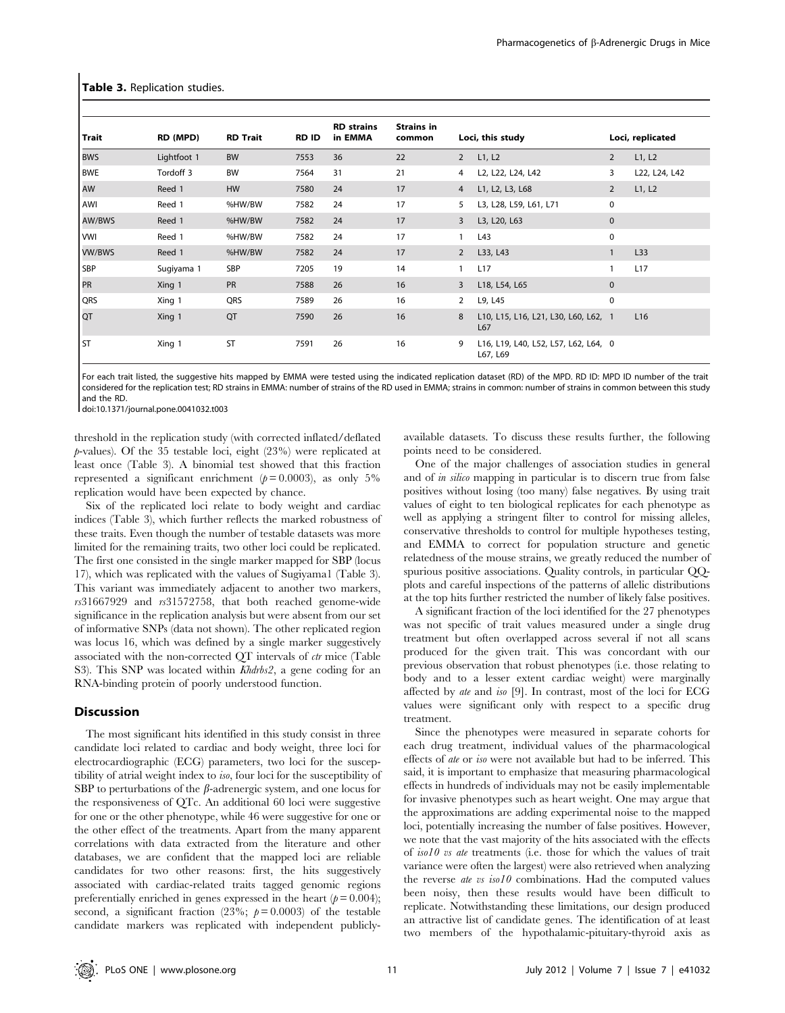#### Table 3. Replication studies.

| <b>Trait</b> | RD (MPD)             | <b>RD Trait</b> | <b>RD ID</b> | <b>RD</b> strains<br>in EMMA | <b>Strains in</b><br>common |                | Loci, this study                                 |                | Loci, replicated |
|--------------|----------------------|-----------------|--------------|------------------------------|-----------------------------|----------------|--------------------------------------------------|----------------|------------------|
| <b>BWS</b>   | Lightfoot 1          | BW              | 7553         | 36                           | 22                          | $\overline{2}$ | L1, L2                                           | $\overline{2}$ | L1, L2           |
| <b>BWE</b>   | Tordoff <sub>3</sub> | <b>BW</b>       | 7564         | 31                           | 21                          | 4              | L2, L22, L24, L42                                | 3              | L22, L24, L42    |
| AW           | Reed 1               | HW              | 7580         | 24                           | 17                          | $\overline{4}$ | L1, L2, L3, L68                                  | $\overline{2}$ | L1, L2           |
| AWI          | Reed 1               | %HW/BW          | 7582         | 24                           | 17                          | 5              | L3, L28, L59, L61, L71                           | 0              |                  |
| AW/BWS       | Reed 1               | %HW/BW          | 7582         | 24                           | 17                          | 3              | L3, L20, L63                                     | $\mathbf 0$    |                  |
| <b>VWI</b>   | Reed 1               | %HW/BW          | 7582         | 24                           | 17                          |                | L43                                              | 0              |                  |
| VW/BWS       | Reed 1               | %HW/BW          | 7582         | 24                           | 17                          | $\overline{2}$ | L33, L43                                         | $\mathbf{1}$   | L33              |
| <b>SBP</b>   | Sugiyama 1           | SBP             | 7205         | 19                           | 14                          |                | L <sub>17</sub>                                  |                | L17              |
| PR           | Xing 1               | <b>PR</b>       | 7588         | 26                           | 16                          | 3              | L18, L54, L65                                    | $\mathbf 0$    |                  |
| <b>QRS</b>   | Xing 1               | QRS             | 7589         | 26                           | 16                          | $\overline{2}$ | L9, L45                                          | 0              |                  |
| <b>OT</b>    | Xing 1               | QT              | 7590         | 26                           | 16                          | 8              | L10, L15, L16, L21, L30, L60, L62, 1<br>L67      |                | L <sub>16</sub>  |
| l st         | Xing 1               | <b>ST</b>       | 7591         | 26                           | 16                          | 9              | L16, L19, L40, L52, L57, L62, L64, 0<br>L67, L69 |                |                  |

For each trait listed, the suggestive hits mapped by EMMA were tested using the indicated replication dataset (RD) of the MPD. RD ID: MPD ID number of the trait considered for the replication test; RD strains in EMMA: number of strains of the RD used in EMMA; strains in common: number of strains in common between this study and the RD

doi:10.1371/journal.pone.0041032.t003

threshold in the replication study (with corrected inflated/deflated p-values). Of the 35 testable loci, eight (23%) were replicated at least once (Table 3). A binomial test showed that this fraction represented a significant enrichment ( $p = 0.0003$ ), as only 5% replication would have been expected by chance.

Six of the replicated loci relate to body weight and cardiac indices (Table 3), which further reflects the marked robustness of these traits. Even though the number of testable datasets was more limited for the remaining traits, two other loci could be replicated. The first one consisted in the single marker mapped for SBP (locus 17), which was replicated with the values of Sugiyama1 (Table 3). This variant was immediately adjacent to another two markers, rs31667929 and rs31572758, that both reached genome-wide significance in the replication analysis but were absent from our set of informative SNPs (data not shown). The other replicated region was locus 16, which was defined by a single marker suggestively associated with the non-corrected  $QT$  intervals of  $\emph{ctr}$  mice (Table S3). This SNP was located within Khdrbs2, a gene coding for an RNA-binding protein of poorly understood function.

#### **Discussion**

The most significant hits identified in this study consist in three candidate loci related to cardiac and body weight, three loci for electrocardiographic (ECG) parameters, two loci for the susceptibility of atrial weight index to iso, four loci for the susceptibility of SBP to perturbations of the  $\beta$ -adrenergic system, and one locus for the responsiveness of QTc. An additional 60 loci were suggestive for one or the other phenotype, while 46 were suggestive for one or the other effect of the treatments. Apart from the many apparent correlations with data extracted from the literature and other databases, we are confident that the mapped loci are reliable candidates for two other reasons: first, the hits suggestively associated with cardiac-related traits tagged genomic regions preferentially enriched in genes expressed in the heart  $(p= 0.004)$ ; second, a significant fraction  $(23\%; p=0.0003)$  of the testable candidate markers was replicated with independent publiclyavailable datasets. To discuss these results further, the following points need to be considered.

One of the major challenges of association studies in general and of in silico mapping in particular is to discern true from false positives without losing (too many) false negatives. By using trait values of eight to ten biological replicates for each phenotype as well as applying a stringent filter to control for missing alleles, conservative thresholds to control for multiple hypotheses testing, and EMMA to correct for population structure and genetic relatedness of the mouse strains, we greatly reduced the number of spurious positive associations. Quality controls, in particular QQplots and careful inspections of the patterns of allelic distributions at the top hits further restricted the number of likely false positives.

A significant fraction of the loci identified for the 27 phenotypes was not specific of trait values measured under a single drug treatment but often overlapped across several if not all scans produced for the given trait. This was concordant with our previous observation that robust phenotypes (i.e. those relating to body and to a lesser extent cardiac weight) were marginally affected by ate and iso [9]. In contrast, most of the loci for ECG values were significant only with respect to a specific drug treatment.

Since the phenotypes were measured in separate cohorts for each drug treatment, individual values of the pharmacological effects of ate or iso were not available but had to be inferred. This said, it is important to emphasize that measuring pharmacological effects in hundreds of individuals may not be easily implementable for invasive phenotypes such as heart weight. One may argue that the approximations are adding experimental noise to the mapped loci, potentially increasing the number of false positives. However, we note that the vast majority of the hits associated with the effects of iso10 vs ate treatments (i.e. those for which the values of trait variance were often the largest) were also retrieved when analyzing the reverse *ate vs iso10* combinations. Had the computed values been noisy, then these results would have been difficult to replicate. Notwithstanding these limitations, our design produced an attractive list of candidate genes. The identification of at least two members of the hypothalamic-pituitary-thyroid axis as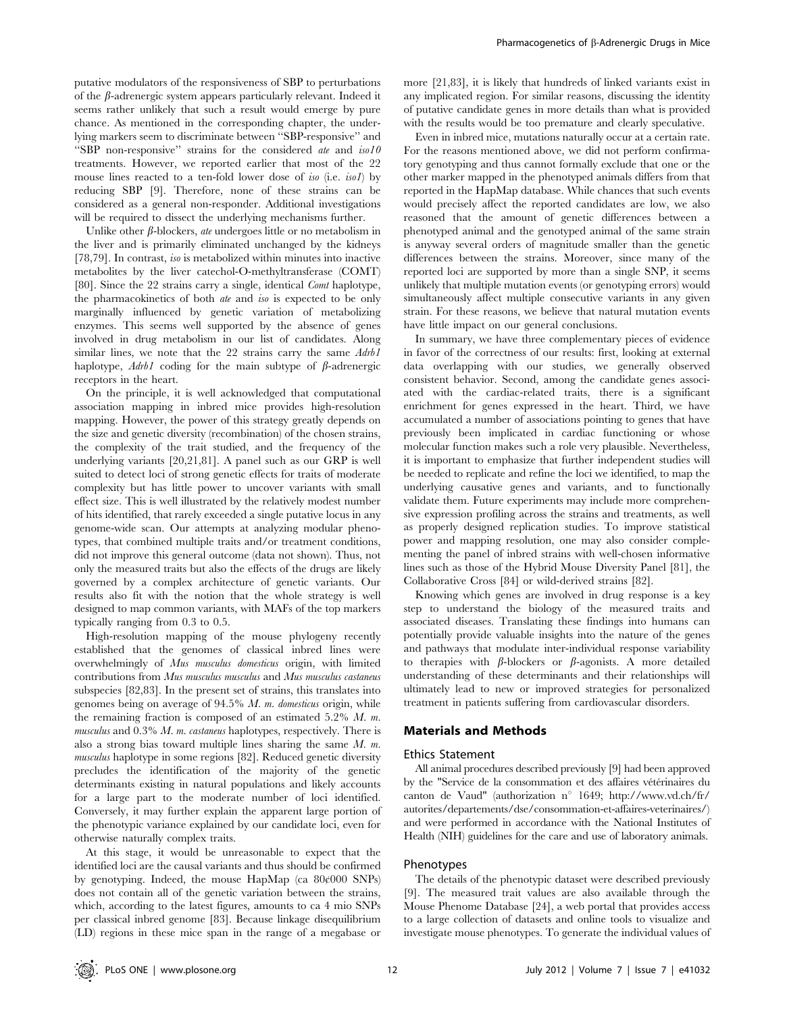putative modulators of the responsiveness of SBP to perturbations of the  $\beta$ -adrenergic system appears particularly relevant. Indeed it seems rather unlikely that such a result would emerge by pure chance. As mentioned in the corresponding chapter, the underlying markers seem to discriminate between ''SBP-responsive'' and "SBP non-responsive" strains for the considered ate and iso10 treatments. However, we reported earlier that most of the 22 mouse lines reacted to a ten-fold lower dose of iso (i.e. iso1) by reducing SBP [9]. Therefore, none of these strains can be considered as a general non-responder. Additional investigations will be required to dissect the underlying mechanisms further.

Unlike other  $\beta$ -blockers, *ate* undergoes little or no metabolism in the liver and is primarily eliminated unchanged by the kidneys [78,79]. In contrast, iso is metabolized within minutes into inactive metabolites by the liver catechol-O-methyltransferase (COMT) [80]. Since the 22 strains carry a single, identical Comt haplotype, the pharmacokinetics of both ate and iso is expected to be only marginally influenced by genetic variation of metabolizing enzymes. This seems well supported by the absence of genes involved in drug metabolism in our list of candidates. Along similar lines, we note that the 22 strains carry the same Adrb1 haplotype, *Adrb1* coding for the main subtype of  $\beta$ -adrenergic receptors in the heart.

On the principle, it is well acknowledged that computational association mapping in inbred mice provides high-resolution mapping. However, the power of this strategy greatly depends on the size and genetic diversity (recombination) of the chosen strains, the complexity of the trait studied, and the frequency of the underlying variants [20,21,81]. A panel such as our GRP is well suited to detect loci of strong genetic effects for traits of moderate complexity but has little power to uncover variants with small effect size. This is well illustrated by the relatively modest number of hits identified, that rarely exceeded a single putative locus in any genome-wide scan. Our attempts at analyzing modular phenotypes, that combined multiple traits and/or treatment conditions, did not improve this general outcome (data not shown). Thus, not only the measured traits but also the effects of the drugs are likely governed by a complex architecture of genetic variants. Our results also fit with the notion that the whole strategy is well designed to map common variants, with MAFs of the top markers typically ranging from 0.3 to 0.5.

High-resolution mapping of the mouse phylogeny recently established that the genomes of classical inbred lines were overwhelmingly of Mus musculus domesticus origin, with limited contributions from Mus musculus musculus and Mus musculus castaneus subspecies [82,83]. In the present set of strains, this translates into genomes being on average of 94.5% M. m. domesticus origin, while the remaining fraction is composed of an estimated 5.2% M. m. musculus and 0.3% M. m. castaneus haplotypes, respectively. There is also a strong bias toward multiple lines sharing the same M. m. musculus haplotype in some regions [82]. Reduced genetic diversity precludes the identification of the majority of the genetic determinants existing in natural populations and likely accounts for a large part to the moderate number of loci identified. Conversely, it may further explain the apparent large portion of the phenotypic variance explained by our candidate loci, even for otherwise naturally complex traits.

At this stage, it would be unreasonable to expect that the identified loci are the causal variants and thus should be confirmed by genotyping. Indeed, the mouse HapMap (ca 80¢000 SNPs) does not contain all of the genetic variation between the strains, which, according to the latest figures, amounts to ca 4 mio SNPs per classical inbred genome [83]. Because linkage disequilibrium (LD) regions in these mice span in the range of a megabase or more [21,83], it is likely that hundreds of linked variants exist in any implicated region. For similar reasons, discussing the identity of putative candidate genes in more details than what is provided with the results would be too premature and clearly speculative.

Even in inbred mice, mutations naturally occur at a certain rate. For the reasons mentioned above, we did not perform confirmatory genotyping and thus cannot formally exclude that one or the other marker mapped in the phenotyped animals differs from that reported in the HapMap database. While chances that such events would precisely affect the reported candidates are low, we also reasoned that the amount of genetic differences between a phenotyped animal and the genotyped animal of the same strain is anyway several orders of magnitude smaller than the genetic differences between the strains. Moreover, since many of the reported loci are supported by more than a single SNP, it seems unlikely that multiple mutation events (or genotyping errors) would simultaneously affect multiple consecutive variants in any given strain. For these reasons, we believe that natural mutation events have little impact on our general conclusions.

In summary, we have three complementary pieces of evidence in favor of the correctness of our results: first, looking at external data overlapping with our studies, we generally observed consistent behavior. Second, among the candidate genes associated with the cardiac-related traits, there is a significant enrichment for genes expressed in the heart. Third, we have accumulated a number of associations pointing to genes that have previously been implicated in cardiac functioning or whose molecular function makes such a role very plausible. Nevertheless, it is important to emphasize that further independent studies will be needed to replicate and refine the loci we identified, to map the underlying causative genes and variants, and to functionally validate them. Future experiments may include more comprehensive expression profiling across the strains and treatments, as well as properly designed replication studies. To improve statistical power and mapping resolution, one may also consider complementing the panel of inbred strains with well-chosen informative lines such as those of the Hybrid Mouse Diversity Panel [81], the Collaborative Cross [84] or wild-derived strains [82].

Knowing which genes are involved in drug response is a key step to understand the biology of the measured traits and associated diseases. Translating these findings into humans can potentially provide valuable insights into the nature of the genes and pathways that modulate inter-individual response variability to therapies with  $\beta$ -blockers or  $\beta$ -agonists. A more detailed understanding of these determinants and their relationships will ultimately lead to new or improved strategies for personalized treatment in patients suffering from cardiovascular disorders.

## Materials and Methods

#### Ethics Statement

All animal procedures described previously [9] had been approved by the "Service de la consommation et des affaires vétérinaires du canton de Vaud" (authorization n° 1649; http://www.vd.ch/fr/ autorites/departements/dse/consommation-et-affaires-veterinaires/) and were performed in accordance with the National Institutes of Health (NIH) guidelines for the care and use of laboratory animals.

## Phenotypes

The details of the phenotypic dataset were described previously [9]. The measured trait values are also available through the Mouse Phenome Database [24], a web portal that provides access to a large collection of datasets and online tools to visualize and investigate mouse phenotypes. To generate the individual values of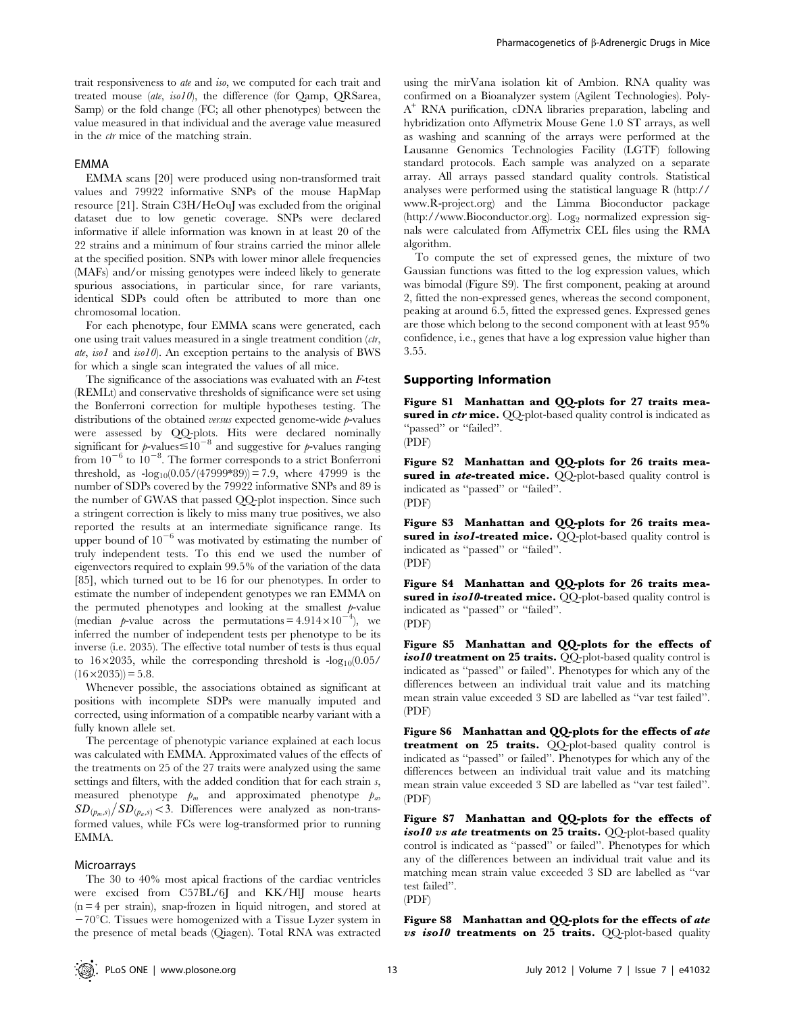trait responsiveness to ate and iso, we computed for each trait and treated mouse (ate, iso10), the difference (for Qamp, QRSarea, Samp) or the fold change (FC; all other phenotypes) between the value measured in that individual and the average value measured in the *ctr* mice of the matching strain.

#### EMMA

EMMA scans [20] were produced using non-transformed trait values and 79922 informative SNPs of the mouse HapMap resource [21]. Strain C3H/HeOuJ was excluded from the original dataset due to low genetic coverage. SNPs were declared informative if allele information was known in at least 20 of the 22 strains and a minimum of four strains carried the minor allele at the specified position. SNPs with lower minor allele frequencies (MAFs) and/or missing genotypes were indeed likely to generate spurious associations, in particular since, for rare variants, identical SDPs could often be attributed to more than one chromosomal location.

For each phenotype, four EMMA scans were generated, each one using trait values measured in a single treatment condition  $(\alpha t)$ , ate, iso1 and iso10). An exception pertains to the analysis of BWS for which a single scan integrated the values of all mice.

The significance of the associations was evaluated with an F-test (REMLt) and conservative thresholds of significance were set using the Bonferroni correction for multiple hypotheses testing. The distributions of the obtained *versus* expected genome-wide  $p$ -values were assessed by QQ-plots. Hits were declared nominally significant for *p*-values  $\leq 10^{-8}$  and suggestive for *p*-values ranging from  $10^{-6}$  to  $10^{-8}$ . The former corresponds to a strict Bonferroni threshold, as  $-\log_{10}(0.05/(47999*89)) = 7.9$ , where 47999 is the number of SDPs covered by the 79922 informative SNPs and 89 is the number of GWAS that passed QQ-plot inspection. Since such a stringent correction is likely to miss many true positives, we also reported the results at an intermediate significance range. Its upper bound of  $10^{-6}$  was motivated by estimating the number of truly independent tests. To this end we used the number of eigenvectors required to explain 99.5% of the variation of the data [85], which turned out to be 16 for our phenotypes. In order to estimate the number of independent genotypes we ran EMMA on the permuted phenotypes and looking at the smallest  $p$ -value (median *p*-value across the permutations =  $4.914 \times 10^{-4}$ ), we inferred the number of independent tests per phenotype to be its inverse (i.e. 2035). The effective total number of tests is thus equal to  $16 \times 2035$ , while the corresponding threshold is  $-log_{10}(0.05/$  $(16 \times 2035)$  = 5.8.

Whenever possible, the associations obtained as significant at positions with incomplete SDPs were manually imputed and corrected, using information of a compatible nearby variant with a fully known allele set.

The percentage of phenotypic variance explained at each locus was calculated with EMMA. Approximated values of the effects of the treatments on 25 of the 27 traits were analyzed using the same settings and filters, with the added condition that for each strain s, measured phenotype  $p_m$  and approximated phenotype  $p_a$ ,  $SD_{(p_m,s)}/SD_{(p_a,s)} < 3$ . Differences were analyzed as non-transformed values, while FCs were log-transformed prior to running EMMA.

#### Microarrays

The 30 to 40% most apical fractions of the cardiac ventricles were excised from C57BL/6J and KK/HlJ mouse hearts (n = 4 per strain), snap-frozen in liquid nitrogen, and stored at  $-70^{\circ}$ C. Tissues were homogenized with a Tissue Lyzer system in the presence of metal beads (Qiagen). Total RNA was extracted

using the mirVana isolation kit of Ambion. RNA quality was confirmed on a Bioanalyzer system (Agilent Technologies). Poly-A<sup>+</sup> RNA purification, cDNA libraries preparation, labeling and hybridization onto Affymetrix Mouse Gene 1.0 ST arrays, as well as washing and scanning of the arrays were performed at the Lausanne Genomics Technologies Facility (LGTF) following standard protocols. Each sample was analyzed on a separate array. All arrays passed standard quality controls. Statistical analyses were performed using the statistical language R (http:// www.R-project.org) and the Limma Bioconductor package  $(\text{http://www.Bioconductor.org})$ . Log<sub>2</sub> normalized expression signals were calculated from Affymetrix CEL files using the RMA algorithm.

To compute the set of expressed genes, the mixture of two Gaussian functions was fitted to the log expression values, which was bimodal (Figure S9). The first component, peaking at around 2, fitted the non-expressed genes, whereas the second component, peaking at around 6.5, fitted the expressed genes. Expressed genes are those which belong to the second component with at least 95% confidence, i.e., genes that have a log expression value higher than 3.55.

#### Supporting Information

Figure S1 Manhattan and QQ-plots for 27 traits measured in *ctr* mice. QQ-plot-based quality control is indicated as "passed" or "failed". (PDF)

Figure S2 Manhattan and QQ-plots for 26 traits measured in ate-treated mice. QQ-plot-based quality control is indicated as ''passed'' or ''failed''. (PDF)

Figure S3 Manhattan and QQ-plots for 26 traits measured in *iso1*-treated mice. QQ-plot-based quality control is indicated as ''passed'' or ''failed''. (PDF)

Figure S4 Manhattan and QQ-plots for 26 traits measured in *iso10*-treated mice. QQ-plot-based quality control is indicated as ''passed'' or ''failed''. (PDF)

Figure S5 Manhattan and QQ-plots for the effects of iso10 treatment on 25 traits.  $QQ$ -plot-based quality control is indicated as ''passed'' or failed''. Phenotypes for which any of the differences between an individual trait value and its matching mean strain value exceeded 3 SD are labelled as ''var test failed''. (PDF)

Figure S6 Manhattan and QQ-plots for the effects of ate treatment on 25 traits. QQ-plot-based quality control is indicated as ''passed'' or failed''. Phenotypes for which any of the differences between an individual trait value and its matching mean strain value exceeded 3 SD are labelled as ''var test failed''. (PDF)

Figure S7 Manhattan and QQ-plots for the effects of iso10 vs ate treatments on 25 traits. QQ-plot-based quality control is indicated as ''passed'' or failed''. Phenotypes for which any of the differences between an individual trait value and its matching mean strain value exceeded 3 SD are labelled as ''var test failed''.

(PDF)

Figure S8 Manhattan and QQ-plots for the effects of ate vs iso10 treatments on 25 traits. QQ-plot-based quality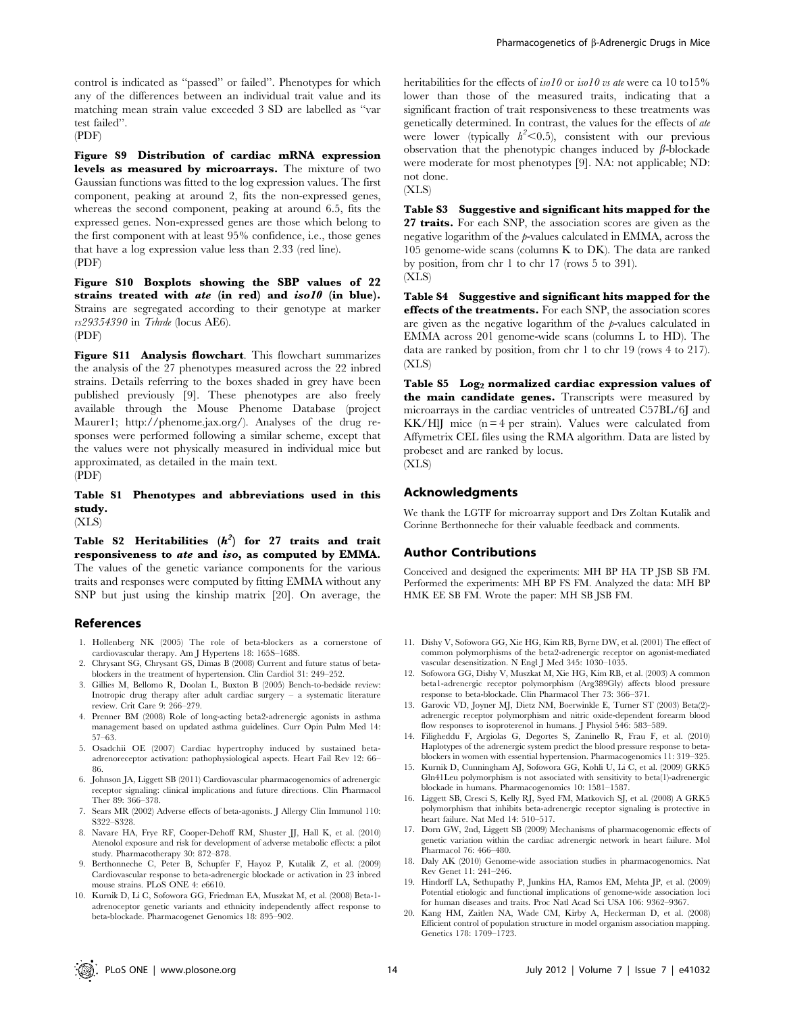control is indicated as ''passed'' or failed''. Phenotypes for which any of the differences between an individual trait value and its matching mean strain value exceeded 3 SD are labelled as ''var test failed''.

(PDF)

Figure S9 Distribution of cardiac mRNA expression levels as measured by microarrays. The mixture of two Gaussian functions was fitted to the log expression values. The first component, peaking at around 2, fits the non-expressed genes, whereas the second component, peaking at around 6.5, fits the expressed genes. Non-expressed genes are those which belong to the first component with at least 95% confidence, i.e., those genes that have a log expression value less than 2.33 (red line). (PDF)

Figure S10 Boxplots showing the SBP values of 22 strains treated with ate (in red) and iso10 (in blue). Strains are segregated according to their genotype at marker rs29354390 in Trhrde (locus AE6). (PDF)

Figure S11 Analysis flowchart. This flowchart summarizes the analysis of the 27 phenotypes measured across the 22 inbred strains. Details referring to the boxes shaded in grey have been published previously [9]. These phenotypes are also freely available through the Mouse Phenome Database (project Maurer1; http://phenome.jax.org/). Analyses of the drug responses were performed following a similar scheme, except that the values were not physically measured in individual mice but approximated, as detailed in the main text.

(PDF)

Table S1 Phenotypes and abbreviations used in this study. (XLS)

Table S2 Heritabilities  $(\bm{h}^2)$  for 27 traits and trait responsiveness to ate and iso, as computed by EMMA. The values of the genetic variance components for the various traits and responses were computed by fitting EMMA without any SNP but just using the kinship matrix [20]. On average, the

#### References

- 1. Hollenberg NK (2005) The role of beta-blockers as a cornerstone of cardiovascular therapy. Am J Hypertens 18: 165S–168S.
- 2. Chrysant SG, Chrysant GS, Dimas B (2008) Current and future status of betablockers in the treatment of hypertension. Clin Cardiol 31: 249–252.
- 3. Gillies M, Bellomo R, Doolan L, Buxton B (2005) Bench-to-bedside review: Inotropic drug therapy after adult cardiac surgery – a systematic literature review. Crit Care 9: 266–279.
- 4. Prenner BM (2008) Role of long-acting beta2-adrenergic agonists in asthma management based on updated asthma guidelines. Curr Opin Pulm Med 14: 57–63.
- 5. Osadchii OE (2007) Cardiac hypertrophy induced by sustained betaadrenoreceptor activation: pathophysiological aspects. Heart Fail Rev 12: 66– 86.
- 6. Johnson JA, Liggett SB (2011) Cardiovascular pharmacogenomics of adrenergic receptor signaling: clinical implications and future directions. Clin Pharmacol Ther 89: 366–378.
- 7. Sears MR (2002) Adverse effects of beta-agonists. J Allergy Clin Immunol 110: S322–S328.
- 8. Navare HA, Frye RF, Cooper-Dehoff RM, Shuster JJ, Hall K, et al. (2010) Atenolol exposure and risk for development of adverse metabolic effects: a pilot study. Pharmacotherapy 30: 872–878.
- 9. Berthonneche C, Peter B, Schupfer F, Hayoz P, Kutalik Z, et al. (2009) Cardiovascular response to beta-adrenergic blockade or activation in 23 inbred mouse strains. PLoS ONE 4: e6610.
- 10. Kurnik D, Li C, Sofowora GG, Friedman EA, Muszkat M, et al. (2008) Beta-1 adrenoceptor genetic variants and ethnicity independently affect response to beta-blockade. Pharmacogenet Genomics 18: 895–902.

heritabilities for the effects of iso10 or iso10 vs ate were ca 10 to15% lower than those of the measured traits, indicating that a significant fraction of trait responsiveness to these treatments was genetically determined. In contrast, the values for the effects of ate were lower (typically  $h^2$ <0.5), consistent with our previous observation that the phenotypic changes induced by  $\beta$ -blockade were moderate for most phenotypes [9]. NA: not applicable; ND: not done.

(XLS)

Table S3 Suggestive and significant hits mapped for the 27 traits. For each SNP, the association scores are given as the negative logarithm of the p-values calculated in EMMA, across the 105 genome-wide scans (columns K to DK). The data are ranked by position, from chr 1 to chr 17 (rows 5 to 391). (XLS)

Table S4 Suggestive and significant hits mapped for the effects of the treatments. For each SNP, the association scores are given as the negative logarithm of the p-values calculated in EMMA across 201 genome-wide scans (columns L to HD). The data are ranked by position, from chr 1 to chr 19 (rows 4 to 217). (XLS)

Table S5 Log<sub>2</sub> normalized cardiac expression values of the main candidate genes. Transcripts were measured by microarrays in the cardiac ventricles of untreated C57BL/6J and KK/HIJ mice  $(n = 4$  per strain). Values were calculated from Affymetrix CEL files using the RMA algorithm. Data are listed by probeset and are ranked by locus. (XLS)

#### Acknowledgments

We thank the LGTF for microarray support and Drs Zoltan Kutalik and Corinne Berthonneche for their valuable feedback and comments.

## Author Contributions

Conceived and designed the experiments: MH BP HA TP JSB SB FM. Performed the experiments: MH BP FS FM. Analyzed the data: MH BP HMK EE SB FM. Wrote the paper: MH SB JSB FM.

- 11. Dishy V, Sofowora GG, Xie HG, Kim RB, Byrne DW, et al. (2001) The effect of common polymorphisms of the beta2-adrenergic receptor on agonist-mediated vascular desensitization. N Engl J Med 345: 1030–1035.
- 12. Sofowora GG, Dishy V, Muszkat M, Xie HG, Kim RB, et al. (2003) A common beta1-adrenergic receptor polymorphism (Arg389Gly) affects blood pressure response to beta-blockade. Clin Pharmacol Ther 73: 366–371.
- 13. Garovic VD, Joyner MJ, Dietz NM, Boerwinkle E, Turner ST (2003) Beta(2) adrenergic receptor polymorphism and nitric oxide-dependent forearm blood flow responses to isoproterenol in humans. J Physiol 546: 583-589.
- 14. Filigheddu F, Argiolas G, Degortes S, Zaninello R, Frau F, et al. (2010) Haplotypes of the adrenergic system predict the blood pressure response to betablockers in women with essential hypertension. Pharmacogenomics 11: 319–325.
- 15. Kurnik D, Cunningham AJ, Sofowora GG, Kohli U, Li C, et al. (2009) GRK5 Gln41Leu polymorphism is not associated with sensitivity to beta(1)-adrenergic blockade in humans. Pharmacogenomics 10: 1581–1587.
- 16. Liggett SB, Cresci S, Kelly RJ, Syed FM, Matkovich SJ, et al. (2008) A GRK5 polymorphism that inhibits beta-adrenergic receptor signaling is protective in heart failure. Nat Med 14: 510–517.
- 17. Dorn GW, 2nd, Liggett SB (2009) Mechanisms of pharmacogenomic effects of genetic variation within the cardiac adrenergic network in heart failure. Mol Pharmacol 76: 466–480.
- 18. Daly AK (2010) Genome-wide association studies in pharmacogenomics. Nat Rev Genet 11: 241–246.
- 19. Hindorff LA, Sethupathy P, Junkins HA, Ramos EM, Mehta JP, et al. (2009) Potential etiologic and functional implications of genome-wide association loci for human diseases and traits. Proc Natl Acad Sci USA 106: 9362–9367.
- 20. Kang HM, Zaitlen NA, Wade CM, Kirby A, Heckerman D, et al. (2008) Efficient control of population structure in model organism association mapping. Genetics 178: 1709–1723.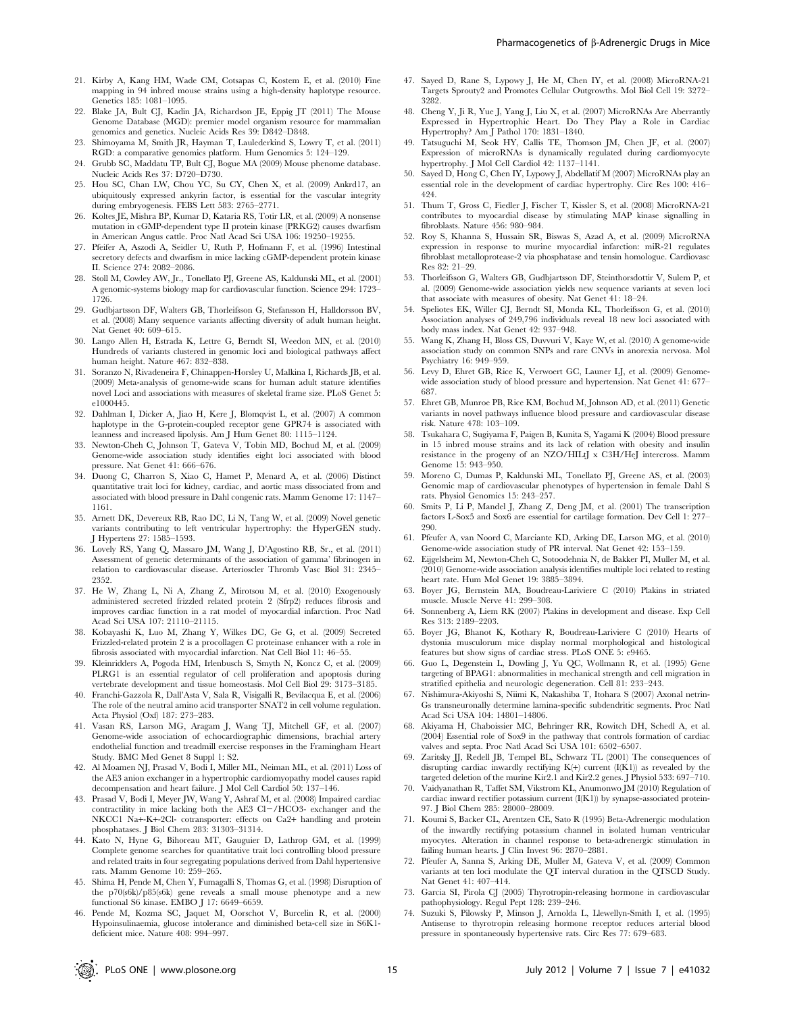- 21. Kirby A, Kang HM, Wade CM, Cotsapas C, Kostem E, et al. (2010) Fine mapping in 94 inbred mouse strains using a high-density haplotype resource. Genetics 185: 1081–1095.
- 22. Blake JA, Bult CJ, Kadin JA, Richardson JE, Eppig JT (2011) The Mouse Genome Database (MGD): premier model organism resource for mammalian genomics and genetics. Nucleic Acids Res 39: D842–D848.
- 23. Shimoyama M, Smith JR, Hayman T, Laulederkind S, Lowry T, et al. (2011) RGD: a comparative genomics platform. Hum Genomics 5: 124–129.
- 24. Grubb SC, Maddatu TP, Bult CJ, Bogue MA (2009) Mouse phenome database. Nucleic Acids Res 37: D720–D730.
- 25. Hou SC, Chan LW, Chou YC, Su CY, Chen X, et al. (2009) Ankrd17, an ubiquitously expressed ankyrin factor, is essential for the vascular integrity during embryogenesis. FEBS Lett 583: 2765–2771.
- 26. Koltes JE, Mishra BP, Kumar D, Kataria RS, Totir LR, et al. (2009) A nonsense mutation in cGMP-dependent type II protein kinase (PRKG2) causes dwarfism in American Angus cattle. Proc Natl Acad Sci USA 106: 19250–19255.
- 27. Pfeifer A, Aszodi A, Seidler U, Ruth P, Hofmann F, et al. (1996) Intestinal secretory defects and dwarfism in mice lacking cGMP-dependent protein kinase II. Science 274: 2082–2086.
- 28. Stoll M, Cowley AW, Jr., Tonellato PJ, Greene AS, Kaldunski ML, et al. (2001) A genomic-systems biology map for cardiovascular function. Science 294: 1723– 1726.
- 29. Gudbjartsson DF, Walters GB, Thorleifsson G, Stefansson H, Halldorsson BV, et al. (2008) Many sequence variants affecting diversity of adult human height. Nat Genet 40: 609–615.
- 30. Lango Allen H, Estrada K, Lettre G, Berndt SI, Weedon MN, et al. (2010) Hundreds of variants clustered in genomic loci and biological pathways affect human height. Nature 467: 832–838.
- 31. Soranzo N, Rivadeneira F, Chinappen-Horsley U, Malkina I, Richards JB, et al. (2009) Meta-analysis of genome-wide scans for human adult stature identifies novel Loci and associations with measures of skeletal frame size. PLoS Genet 5: e1000445.
- 32. Dahlman I, Dicker A, Jiao H, Kere J, Blomqvist L, et al. (2007) A common haplotype in the G-protein-coupled receptor gene GPR74 is associated with leanness and increased lipolysis. Am J Hum Genet 80: 1115–1124.
- 33. Newton-Cheh C, Johnson T, Gateva V, Tobin MD, Bochud M, et al. (2009) Genome-wide association study identifies eight loci associated with blood pressure. Nat Genet 41: 666–676.
- 34. Duong C, Charron S, Xiao C, Hamet P, Menard A, et al. (2006) Distinct quantitative trait loci for kidney, cardiac, and aortic mass dissociated from and associated with blood pressure in Dahl congenic rats. Mamm Genome 17: 1147– 1161.
- 35. Arnett DK, Devereux RB, Rao DC, Li N, Tang W, et al. (2009) Novel genetic variants contributing to left ventricular hypertrophy: the HyperGEN study. J Hypertens 27: 1585–1593.
- 36. Lovely RS, Yang Q, Massaro JM, Wang J, D'Agostino RB, Sr., et al. (2011) Assessment of genetic determinants of the association of gamma' fibrinogen in relation to cardiovascular disease. Arterioscler Thromb Vasc Biol 31: 2345– 2352.
- 37. He W, Zhang L, Ni A, Zhang Z, Mirotsou M, et al. (2010) Exogenously administered secreted frizzled related protein 2 (Sfrp2) reduces fibrosis and improves cardiac function in a rat model of myocardial infarction. Proc Natl Acad Sci USA 107: 21110–21115.
- 38. Kobayashi K, Luo M, Zhang Y, Wilkes DC, Ge G, et al. (2009) Secreted Frizzled-related protein 2 is a procollagen C proteinase enhancer with a role in fibrosis associated with myocardial infarction. Nat Cell Biol 11: 46–55.
- 39. Kleinridders A, Pogoda HM, Irlenbusch S, Smyth N, Koncz C, et al. (2009) PLRG1 is an essential regulator of cell proliferation and apoptosis during vertebrate development and tissue homeostasis. Mol Cell Biol 29: 3173–3185.
- 40. Franchi-Gazzola R, Dall'Asta V, Sala R, Visigalli R, Bevilacqua E, et al. (2006) The role of the neutral amino acid transporter SNAT2 in cell volume regulation. Acta Physiol (Oxf) 187: 273–283.
- 41. Vasan RS, Larson MG, Aragam J, Wang TJ, Mitchell GF, et al. (2007) Genome-wide association of echocardiographic dimensions, brachial artery endothelial function and treadmill exercise responses in the Framingham Heart Study. BMC Med Genet 8 Suppl 1: S2.
- 42. Al Moamen NJ, Prasad V, Bodi I, Miller ML, Neiman ML, et al. (2011) Loss of the AE3 anion exchanger in a hypertrophic cardiomyopathy model causes rapid decompensation and heart failure. J Mol Cell Cardiol 50: 137–146.
- 43. Prasad V, Bodi I, Meyer JW, Wang Y, Ashraf M, et al. (2008) Impaired cardiac contractility in mice lacking both the AE3 Cl $-$ /HCO3- exchanger and the NKCC1 Na+-K+-2Cl- cotransporter: effects on Ca2+ handling and protein phosphatases. J Biol Chem 283: 31303–31314.
- 44. Kato N, Hyne G, Bihoreau MT, Gauguier D, Lathrop GM, et al. (1999) Complete genome searches for quantitative trait loci controlling blood pressure and related traits in four segregating populations derived from Dahl hypertensive rats. Mamm Genome 10: 259–265.
- 45. Shima H, Pende M, Chen Y, Fumagalli S, Thomas G, et al. (1998) Disruption of the p70(s6k)/p85(s6k) gene reveals a small mouse phenotype and a new functional S6 kinase. EMBO J 17: 6649–6659.
- 46. Pende M, Kozma SC, Jaquet M, Oorschot V, Burcelin R, et al. (2000) Hypoinsulinaemia, glucose intolerance and diminished beta-cell size in S6K1 deficient mice. Nature 408: 994–997.
- 47. Sayed D, Rane S, Lypowy J, He M, Chen IY, et al. (2008) MicroRNA-21 Targets Sprouty2 and Promotes Cellular Outgrowths. Mol Biol Cell 19: 3272– 3282.
- 48. Cheng Y, Ji R, Yue J, Yang J, Liu X, et al. (2007) MicroRNAs Are Aberrantly Expressed in Hypertrophic Heart. Do They Play a Role in Cardiac Hypertrophy? Am J Pathol 170: 1831–1840.
- 49. Tatsuguchi M, Seok HY, Callis TE, Thomson JM, Chen JF, et al. (2007) Expression of microRNAs is dynamically regulated during cardiomyocyte hypertrophy. J Mol Cell Cardiol 42: 1137–1141.
- 50. Sayed D, Hong C, Chen IY, Lypowy J, Abdellatif M (2007) MicroRNAs play an essential role in the development of cardiac hypertrophy. Circ Res 100: 416– 424.
- 51. Thum T, Gross C, Fiedler J, Fischer T, Kissler S, et al. (2008) MicroRNA-21 contributes to myocardial disease by stimulating MAP kinase signalling in fibroblasts. Nature 456: 980–984.
- 52. Roy S, Khanna S, Hussain SR, Biswas S, Azad A, et al. (2009) MicroRNA expression in response to murine myocardial infarction: miR-21 regulates fibroblast metalloprotease-2 via phosphatase and tensin homologue. Cardiovasc Res 82: 21–29.
- 53. Thorleifsson G, Walters GB, Gudbjartsson DF, Steinthorsdottir V, Sulem P, et al. (2009) Genome-wide association yields new sequence variants at seven loci that associate with measures of obesity. Nat Genet 41: 18–24.
- 54. Speliotes EK, Willer CJ, Berndt SI, Monda KL, Thorleifsson G, et al. (2010) Association analyses of 249,796 individuals reveal 18 new loci associated with body mass index. Nat Genet 42: 937–948.
- 55. Wang K, Zhang H, Bloss CS, Duvvuri V, Kaye W, et al. (2010) A genome-wide association study on common SNPs and rare CNVs in anorexia nervosa. Mol Psychiatry 16: 949–959.
- 56. Levy D, Ehret GB, Rice K, Verwoert GC, Launer LJ, et al. (2009) Genomewide association study of blood pressure and hypertension. Nat Genet 41: 677– 687.
- 57. Ehret GB, Munroe PB, Rice KM, Bochud M, Johnson AD, et al. (2011) Genetic variants in novel pathways influence blood pressure and cardiovascular disease risk. Nature 478: 103–109.
- 58. Tsukahara C, Sugiyama F, Paigen B, Kunita S, Yagami K (2004) Blood pressure in 15 inbred mouse strains and its lack of relation with obesity and insulin resistance in the progeny of an NZO/HILtJ x C3H/HeJ intercross. Mamm Genome 15: 943–950.
- 59. Moreno C, Dumas P, Kaldunski ML, Tonellato PJ, Greene AS, et al. (2003) Genomic map of cardiovascular phenotypes of hypertension in female Dahl S rats. Physiol Genomics 15: 243–257.
- 60. Smits P, Li P, Mandel J, Zhang Z, Deng JM, et al. (2001) The transcription factors L-Sox5 and Sox6 are essential for cartilage formation. Dev Cell 1: 277– 290.
- 61. Pfeufer A, van Noord C, Marciante KD, Arking DE, Larson MG, et al. (2010) Genome-wide association study of PR interval. Nat Genet 42: 153–159.
- 62. Eijgelsheim M, Newton-Cheh C, Sotoodehnia N, de Bakker PI, Muller M, et al. (2010) Genome-wide association analysis identifies multiple loci related to resting heart rate. Hum Mol Genet 19: 3885–3894.
- 63. Boyer JG, Bernstein MA, Boudreau-Lariviere C (2010) Plakins in striated muscle. Muscle Nerve 41: 299–308.
- 64. Sonnenberg A, Liem RK (2007) Plakins in development and disease. Exp Cell Res 313: 2189–2203.
- 65. Boyer JG, Bhanot K, Kothary R, Boudreau-Lariviere C (2010) Hearts of dystonia musculorum mice display normal morphological and histological features but show signs of cardiac stress. PLoS ONE 5: e9465.
- 66. Guo L, Degenstein L, Dowling J, Yu QC, Wollmann R, et al. (1995) Gene targeting of BPAG1: abnormalities in mechanical strength and cell migration in stratified epithelia and neurologic degeneration. Cell 81: 233–243.
- 67. Nishimura-Akiyoshi S, Niimi K, Nakashiba T, Itohara S (2007) Axonal netrin-Gs transneuronally determine lamina-specific subdendritic segments. Proc Natl Acad Sci USA 104: 14801–14806.
- 68. Akiyama H, Chaboissier MC, Behringer RR, Rowitch DH, Schedl A, et al. (2004) Essential role of Sox9 in the pathway that controls formation of cardiac valves and septa. Proc Natl Acad Sci USA 101: 6502–6507.
- 69. Zaritsky JJ, Redell JB, Tempel BL, Schwarz TL (2001) The consequences of disrupting cardiac inwardly rectifying K(+) current (I(K1)) as revealed by the targeted deletion of the murine Kir2.1 and Kir2.2 genes. J Physiol 533: 697–710.
- 70. Vaidyanathan R, Taffet SM, Vikstrom KL, Anumonwo JM (2010) Regulation of cardiac inward rectifier potassium current (I(K1)) by synapse-associated protein-97. J Biol Chem 285: 28000–28009.
- 71. Koumi S, Backer CL, Arentzen CE, Sato R (1995) Beta-Adrenergic modulation of the inwardly rectifying potassium channel in isolated human ventricular myocytes. Alteration in channel response to beta-adrenergic stimulation in failing human hearts. J Clin Invest 96: 2870–2881.
- 72. Pfeufer A, Sanna S, Arking DE, Muller M, Gateva V, et al. (2009) Common variants at ten loci modulate the QT interval duration in the QTSCD Study. Nat Genet 41: 407–414.
- 73. Garcia SI, Pirola CJ (2005) Thyrotropin-releasing hormone in cardiovascular pathophysiology. Regul Pept 128: 239–246.
- 74. Suzuki S, Pilowsky P, Minson J, Arnolda L, Llewellyn-Smith I, et al. (1995) Antisense to thyrotropin releasing hormone receptor reduces arterial blood pressure in spontaneously hypertensive rats. Circ Res 77: 679–683.